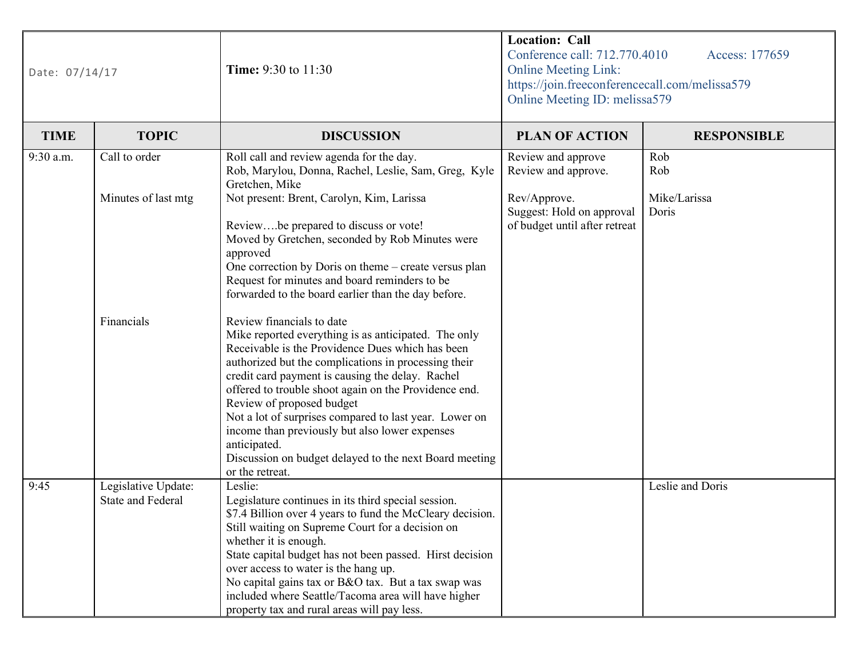| Date: 07/14/17 |                                                 | <b>Time:</b> 9:30 to 11:30                                                                                                                                                                                                                                                                                                                                                                                                                                                                                                                       | <b>Location: Call</b><br>Conference call: 712.770.4010<br>Access: 177659<br><b>Online Meeting Link:</b><br>https://join.freeconferencecall.com/melissa579<br>Online Meeting ID: melissa579 |                       |  |
|----------------|-------------------------------------------------|--------------------------------------------------------------------------------------------------------------------------------------------------------------------------------------------------------------------------------------------------------------------------------------------------------------------------------------------------------------------------------------------------------------------------------------------------------------------------------------------------------------------------------------------------|--------------------------------------------------------------------------------------------------------------------------------------------------------------------------------------------|-----------------------|--|
| <b>TIME</b>    | <b>TOPIC</b>                                    | <b>DISCUSSION</b>                                                                                                                                                                                                                                                                                                                                                                                                                                                                                                                                | <b>PLAN OF ACTION</b>                                                                                                                                                                      | <b>RESPONSIBLE</b>    |  |
| 9:30 a.m.      | Call to order                                   | Roll call and review agenda for the day.<br>Rob, Marylou, Donna, Rachel, Leslie, Sam, Greg, Kyle<br>Gretchen, Mike                                                                                                                                                                                                                                                                                                                                                                                                                               | Review and approve<br>Review and approve.                                                                                                                                                  | Rob<br>Rob            |  |
|                | Minutes of last mtg                             | Not present: Brent, Carolyn, Kim, Larissa<br>Reviewbe prepared to discuss or vote!<br>Moved by Gretchen, seconded by Rob Minutes were<br>approved<br>One correction by Doris on theme - create versus plan<br>Request for minutes and board reminders to be<br>forwarded to the board earlier than the day before.                                                                                                                                                                                                                               | Rev/Approve.<br>Suggest: Hold on approval<br>of budget until after retreat                                                                                                                 | Mike/Larissa<br>Doris |  |
|                | Financials                                      | Review financials to date<br>Mike reported everything is as anticipated. The only<br>Receivable is the Providence Dues which has been<br>authorized but the complications in processing their<br>credit card payment is causing the delay. Rachel<br>offered to trouble shoot again on the Providence end.<br>Review of proposed budget<br>Not a lot of surprises compared to last year. Lower on<br>income than previously but also lower expenses<br>anticipated.<br>Discussion on budget delayed to the next Board meeting<br>or the retreat. |                                                                                                                                                                                            |                       |  |
| 9:45           | Legislative Update:<br><b>State and Federal</b> | Leslie:<br>Legislature continues in its third special session.<br>\$7.4 Billion over 4 years to fund the McCleary decision.<br>Still waiting on Supreme Court for a decision on<br>whether it is enough.<br>State capital budget has not been passed. Hirst decision<br>over access to water is the hang up.<br>No capital gains tax or B&O tax. But a tax swap was<br>included where Seattle/Tacoma area will have higher<br>property tax and rural areas will pay less.                                                                        |                                                                                                                                                                                            | Leslie and Doris      |  |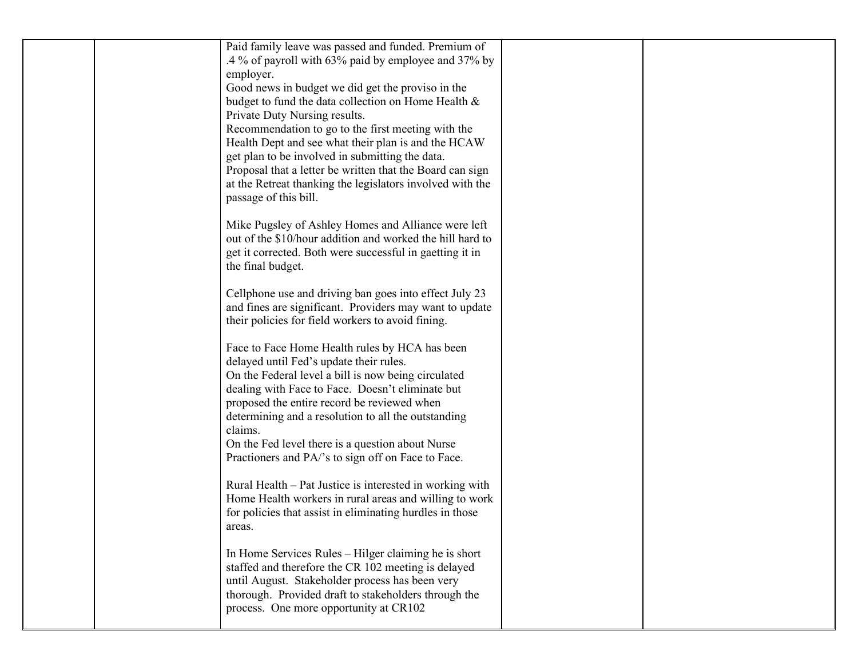| Paid family leave was passed and funded. Premium of<br>.4 % of payroll with 63% paid by employee and 37% by<br>employer.<br>Good news in budget we did get the proviso in the<br>budget to fund the data collection on Home Health &<br>Private Duty Nursing results.                                                                                                                                                           |  |
|---------------------------------------------------------------------------------------------------------------------------------------------------------------------------------------------------------------------------------------------------------------------------------------------------------------------------------------------------------------------------------------------------------------------------------|--|
| Recommendation to go to the first meeting with the<br>Health Dept and see what their plan is and the HCAW<br>get plan to be involved in submitting the data.<br>Proposal that a letter be written that the Board can sign<br>at the Retreat thanking the legislators involved with the<br>passage of this bill.                                                                                                                 |  |
| Mike Pugsley of Ashley Homes and Alliance were left<br>out of the \$10/hour addition and worked the hill hard to<br>get it corrected. Both were successful in gaetting it in<br>the final budget.                                                                                                                                                                                                                               |  |
| Cellphone use and driving ban goes into effect July 23<br>and fines are significant. Providers may want to update<br>their policies for field workers to avoid fining.                                                                                                                                                                                                                                                          |  |
| Face to Face Home Health rules by HCA has been<br>delayed until Fed's update their rules.<br>On the Federal level a bill is now being circulated<br>dealing with Face to Face. Doesn't eliminate but<br>proposed the entire record be reviewed when<br>determining and a resolution to all the outstanding<br>claims.<br>On the Fed level there is a question about Nurse<br>Practioners and PA/'s to sign off on Face to Face. |  |
| Rural Health - Pat Justice is interested in working with<br>Home Health workers in rural areas and willing to work<br>for policies that assist in eliminating hurdles in those<br>areas.                                                                                                                                                                                                                                        |  |
| In Home Services Rules – Hilger claiming he is short<br>staffed and therefore the CR 102 meeting is delayed<br>until August. Stakeholder process has been very<br>thorough. Provided draft to stakeholders through the<br>process. One more opportunity at CR102                                                                                                                                                                |  |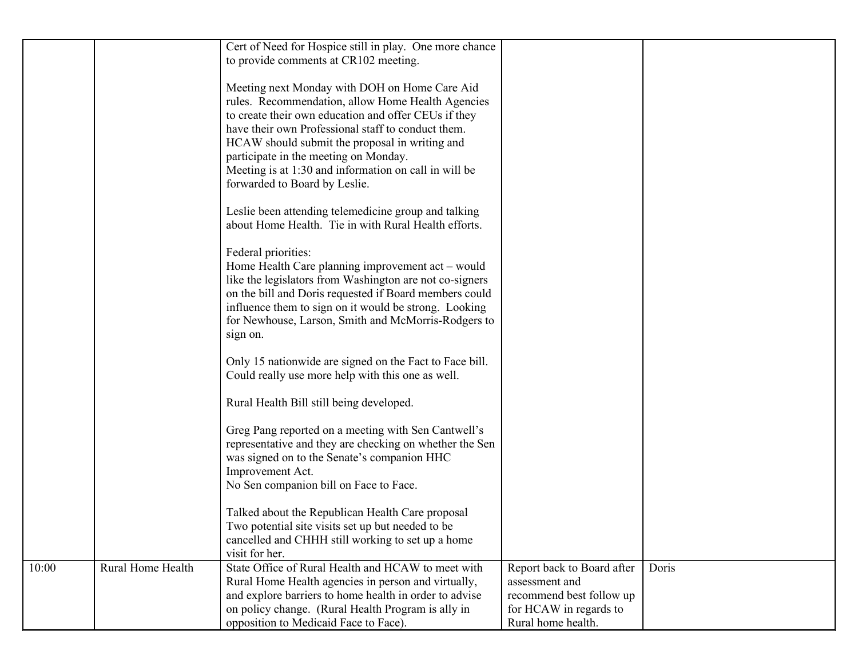|       |                   | Cert of Need for Hospice still in play. One more chance                                                                                                                                                                                                                                                                                                              |                                                                                                                          |       |
|-------|-------------------|----------------------------------------------------------------------------------------------------------------------------------------------------------------------------------------------------------------------------------------------------------------------------------------------------------------------------------------------------------------------|--------------------------------------------------------------------------------------------------------------------------|-------|
|       |                   | to provide comments at CR102 meeting.                                                                                                                                                                                                                                                                                                                                |                                                                                                                          |       |
|       |                   | Meeting next Monday with DOH on Home Care Aid<br>rules. Recommendation, allow Home Health Agencies<br>to create their own education and offer CEUs if they<br>have their own Professional staff to conduct them.<br>HCAW should submit the proposal in writing and<br>participate in the meeting on Monday.<br>Meeting is at 1:30 and information on call in will be |                                                                                                                          |       |
|       |                   | forwarded to Board by Leslie.                                                                                                                                                                                                                                                                                                                                        |                                                                                                                          |       |
|       |                   | Leslie been attending telemedicine group and talking<br>about Home Health. Tie in with Rural Health efforts.                                                                                                                                                                                                                                                         |                                                                                                                          |       |
|       |                   | Federal priorities:<br>Home Health Care planning improvement act – would<br>like the legislators from Washington are not co-signers<br>on the bill and Doris requested if Board members could<br>influence them to sign on it would be strong. Looking<br>for Newhouse, Larson, Smith and McMorris-Rodgers to<br>sign on.                                            |                                                                                                                          |       |
|       |                   | Only 15 nationwide are signed on the Fact to Face bill.<br>Could really use more help with this one as well.                                                                                                                                                                                                                                                         |                                                                                                                          |       |
|       |                   | Rural Health Bill still being developed.                                                                                                                                                                                                                                                                                                                             |                                                                                                                          |       |
|       |                   | Greg Pang reported on a meeting with Sen Cantwell's<br>representative and they are checking on whether the Sen<br>was signed on to the Senate's companion HHC<br>Improvement Act.<br>No Sen companion bill on Face to Face.                                                                                                                                          |                                                                                                                          |       |
|       |                   | Talked about the Republican Health Care proposal<br>Two potential site visits set up but needed to be<br>cancelled and CHHH still working to set up a home<br>visit for her.                                                                                                                                                                                         |                                                                                                                          |       |
| 10:00 | Rural Home Health | State Office of Rural Health and HCAW to meet with<br>Rural Home Health agencies in person and virtually,<br>and explore barriers to home health in order to advise<br>on policy change. (Rural Health Program is ally in<br>opposition to Medicaid Face to Face).                                                                                                   | Report back to Board after<br>assessment and<br>recommend best follow up<br>for HCAW in regards to<br>Rural home health. | Doris |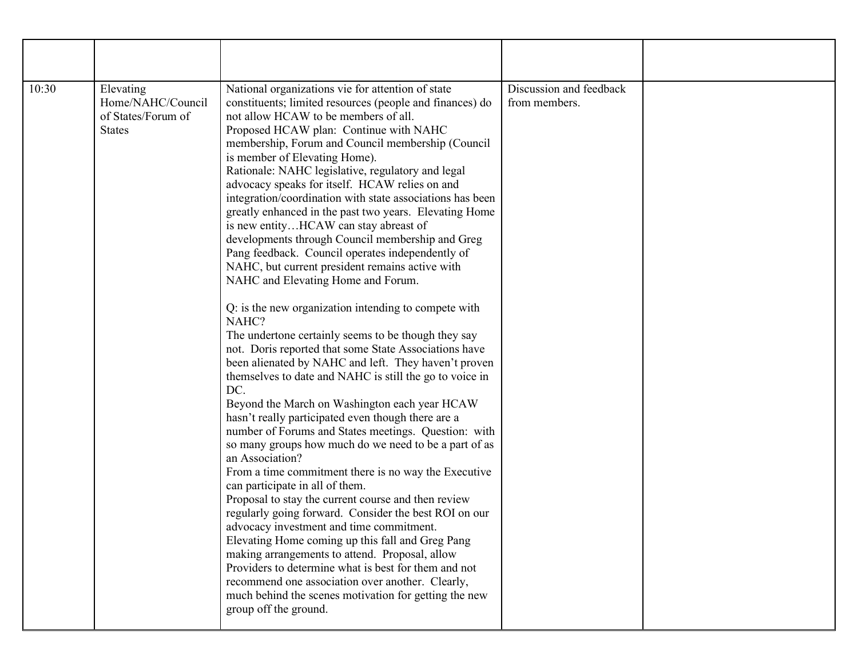| 10:30 | Elevating<br>Home/NAHC/Council<br>of States/Forum of<br><b>States</b> | National organizations vie for attention of state<br>constituents; limited resources (people and finances) do<br>not allow HCAW to be members of all.<br>Proposed HCAW plan: Continue with NAHC<br>membership, Forum and Council membership (Council<br>is member of Elevating Home).<br>Rationale: NAHC legislative, regulatory and legal<br>advocacy speaks for itself. HCAW relies on and<br>integration/coordination with state associations has been<br>greatly enhanced in the past two years. Elevating Home<br>is new entityHCAW can stay abreast of<br>developments through Council membership and Greg<br>Pang feedback. Council operates independently of<br>NAHC, but current president remains active with<br>NAHC and Elevating Home and Forum.<br>Q: is the new organization intending to compete with<br>NAHC?<br>The undertone certainly seems to be though they say<br>not. Doris reported that some State Associations have<br>been alienated by NAHC and left. They haven't proven<br>themselves to date and NAHC is still the go to voice in<br>DC.<br>Beyond the March on Washington each year HCAW<br>hasn't really participated even though there are a<br>number of Forums and States meetings. Question: with<br>so many groups how much do we need to be a part of as<br>an Association?<br>From a time commitment there is no way the Executive<br>can participate in all of them.<br>Proposal to stay the current course and then review<br>regularly going forward. Consider the best ROI on our<br>advocacy investment and time commitment.<br>Elevating Home coming up this fall and Greg Pang<br>making arrangements to attend. Proposal, allow<br>Providers to determine what is best for them and not<br>recommend one association over another. Clearly,<br>much behind the scenes motivation for getting the new<br>group off the ground. | Discussion and feedback<br>from members. |  |
|-------|-----------------------------------------------------------------------|--------------------------------------------------------------------------------------------------------------------------------------------------------------------------------------------------------------------------------------------------------------------------------------------------------------------------------------------------------------------------------------------------------------------------------------------------------------------------------------------------------------------------------------------------------------------------------------------------------------------------------------------------------------------------------------------------------------------------------------------------------------------------------------------------------------------------------------------------------------------------------------------------------------------------------------------------------------------------------------------------------------------------------------------------------------------------------------------------------------------------------------------------------------------------------------------------------------------------------------------------------------------------------------------------------------------------------------------------------------------------------------------------------------------------------------------------------------------------------------------------------------------------------------------------------------------------------------------------------------------------------------------------------------------------------------------------------------------------------------------------------------------------------------------------------------------------------------------------------------------------------|------------------------------------------|--|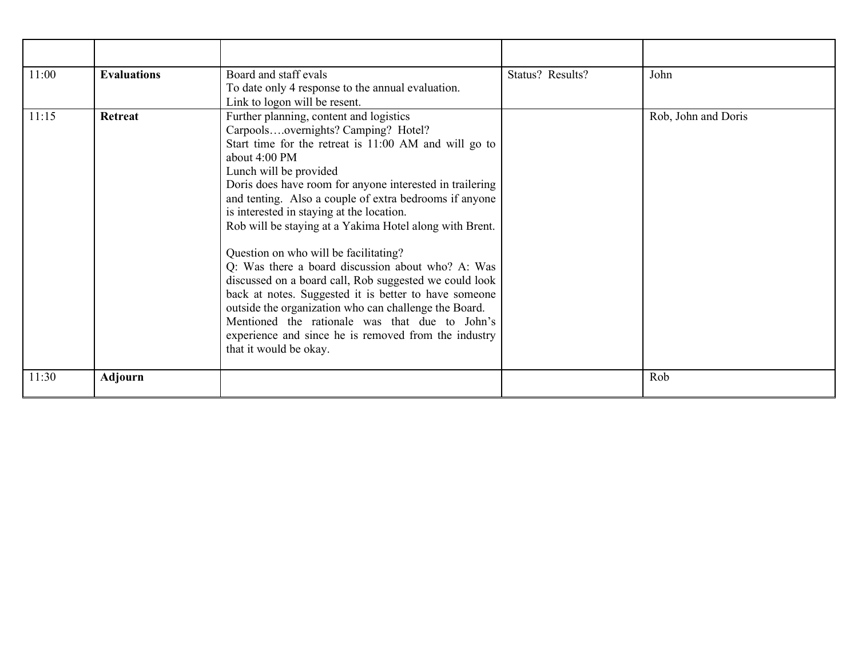| 11:00 | <b>Evaluations</b> | Board and staff evals<br>To date only 4 response to the annual evaluation.<br>Link to logon will be resent.                                                                                                                                                                                                                                                                                                                                                                                                                                                                                                                                                                                                                                                                                                                              | Status? Results? | John                |
|-------|--------------------|------------------------------------------------------------------------------------------------------------------------------------------------------------------------------------------------------------------------------------------------------------------------------------------------------------------------------------------------------------------------------------------------------------------------------------------------------------------------------------------------------------------------------------------------------------------------------------------------------------------------------------------------------------------------------------------------------------------------------------------------------------------------------------------------------------------------------------------|------------------|---------------------|
| 11:15 | Retreat            | Further planning, content and logistics<br>Carpoolsovernights? Camping? Hotel?<br>Start time for the retreat is 11:00 AM and will go to<br>about $4:00 \text{ PM}$<br>Lunch will be provided<br>Doris does have room for anyone interested in trailering<br>and tenting. Also a couple of extra bedrooms if anyone<br>is interested in staying at the location.<br>Rob will be staying at a Yakima Hotel along with Brent.<br>Question on who will be facilitating?<br>Q: Was there a board discussion about who? A: Was<br>discussed on a board call, Rob suggested we could look<br>back at notes. Suggested it is better to have someone<br>outside the organization who can challenge the Board.<br>Mentioned the rationale was that due to John's<br>experience and since he is removed from the industry<br>that it would be okay. |                  | Rob, John and Doris |
| 11:30 | <b>Adjourn</b>     |                                                                                                                                                                                                                                                                                                                                                                                                                                                                                                                                                                                                                                                                                                                                                                                                                                          |                  | Rob                 |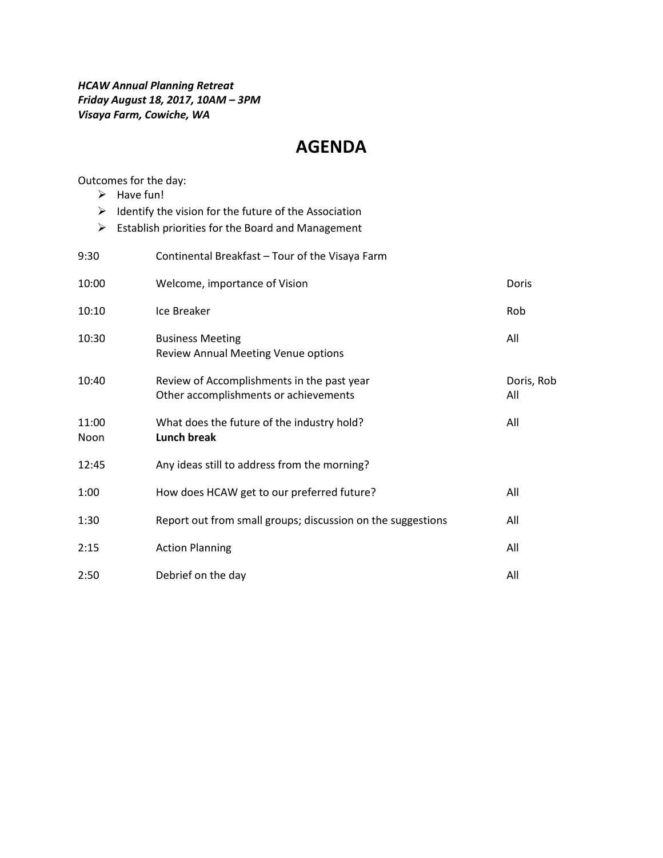#### *HCAW Annual Planning Retreat Friday August 18, 2017, 10AM – 3PM Visaya Farm, Cowiche, WA*

# **AGENDA**

Outcomes for the day:

- $\blacktriangleright$  Have fun!
- $\triangleright$  Identify the vision for the future of the Association
- $\triangleright$  Establish priorities for the Board and Management

| 9:30          | Continental Breakfast - Tour of the Visaya Farm                                     |                   |
|---------------|-------------------------------------------------------------------------------------|-------------------|
| 10:00         | Welcome, importance of Vision                                                       | Doris             |
| 10:10         | Ice Breaker                                                                         | Rob               |
| 10:30         | <b>Business Meeting</b><br>Review Annual Meeting Venue options                      | All               |
| 10:40         | Review of Accomplishments in the past year<br>Other accomplishments or achievements | Doris, Rob<br>All |
| 11:00<br>Noon | What does the future of the industry hold?<br><b>Lunch break</b>                    | All               |
| 12:45         | Any ideas still to address from the morning?                                        |                   |
| 1:00          | How does HCAW get to our preferred future?                                          | All               |
| 1:30          | Report out from small groups; discussion on the suggestions                         | All               |
| 2:15          | <b>Action Planning</b>                                                              | All               |
| 2:50          | Debrief on the day                                                                  | All               |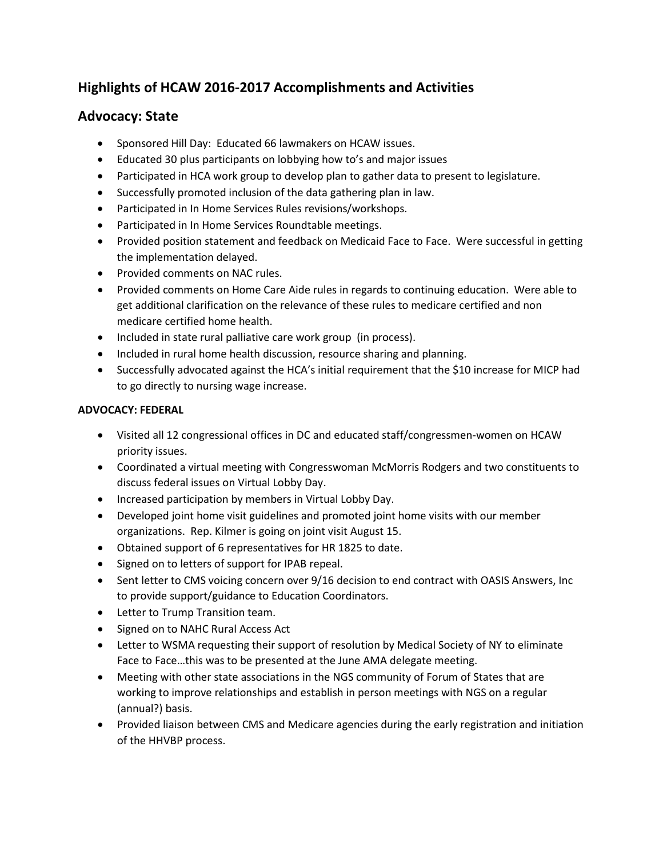## **Highlights of HCAW 2016-2017 Accomplishments and Activities**

## **Advocacy: State**

- Sponsored Hill Day: Educated 66 lawmakers on HCAW issues.
- Educated 30 plus participants on lobbying how to's and major issues
- Participated in HCA work group to develop plan to gather data to present to legislature.
- Successfully promoted inclusion of the data gathering plan in law.
- Participated in In Home Services Rules revisions/workshops.
- Participated in In Home Services Roundtable meetings.
- Provided position statement and feedback on Medicaid Face to Face. Were successful in getting the implementation delayed.
- Provided comments on NAC rules.
- Provided comments on Home Care Aide rules in regards to continuing education. Were able to get additional clarification on the relevance of these rules to medicare certified and non medicare certified home health.
- Included in state rural palliative care work group (in process).
- Included in rural home health discussion, resource sharing and planning.
- Successfully advocated against the HCA's initial requirement that the \$10 increase for MICP had to go directly to nursing wage increase.

## **ADVOCACY: FEDERAL**

- Visited all 12 congressional offices in DC and educated staff/congressmen-women on HCAW priority issues.
- Coordinated a virtual meeting with Congresswoman McMorris Rodgers and two constituents to discuss federal issues on Virtual Lobby Day.
- Increased participation by members in Virtual Lobby Day.
- Developed joint home visit guidelines and promoted joint home visits with our member organizations. Rep. Kilmer is going on joint visit August 15.
- Obtained support of 6 representatives for HR 1825 to date.
- Signed on to letters of support for IPAB repeal.
- Sent letter to CMS voicing concern over 9/16 decision to end contract with OASIS Answers, Inc to provide support/guidance to Education Coordinators.
- Letter to Trump Transition team.
- Signed on to NAHC Rural Access Act
- Letter to WSMA requesting their support of resolution by Medical Society of NY to eliminate Face to Face…this was to be presented at the June AMA delegate meeting.
- Meeting with other state associations in the NGS community of Forum of States that are working to improve relationships and establish in person meetings with NGS on a regular (annual?) basis.
- Provided liaison between CMS and Medicare agencies during the early registration and initiation of the HHVBP process.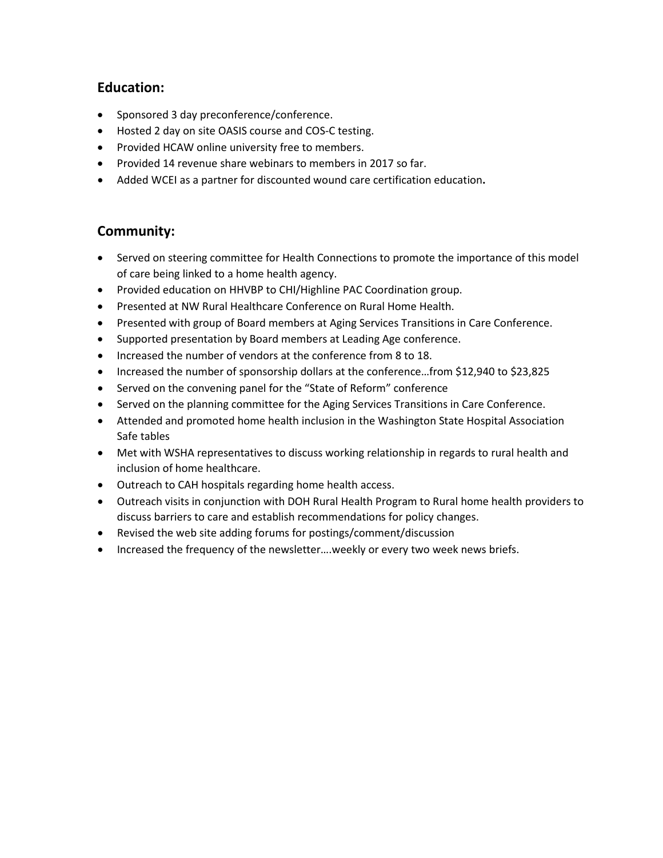## **Education:**

- Sponsored 3 day preconference/conference.
- Hosted 2 day on site OASIS course and COS-C testing.
- Provided HCAW online university free to members.
- Provided 14 revenue share webinars to members in 2017 so far.
- Added WCEI as a partner for discounted wound care certification education**.**

## **Community:**

- Served on steering committee for Health Connections to promote the importance of this model of care being linked to a home health agency.
- Provided education on HHVBP to CHI/Highline PAC Coordination group.
- Presented at NW Rural Healthcare Conference on Rural Home Health.
- Presented with group of Board members at Aging Services Transitions in Care Conference.
- Supported presentation by Board members at Leading Age conference.
- Increased the number of vendors at the conference from 8 to 18.
- Increased the number of sponsorship dollars at the conference…from \$12,940 to \$23,825
- Served on the convening panel for the "State of Reform" conference
- Served on the planning committee for the Aging Services Transitions in Care Conference.
- Attended and promoted home health inclusion in the Washington State Hospital Association Safe tables
- Met with WSHA representatives to discuss working relationship in regards to rural health and inclusion of home healthcare.
- Outreach to CAH hospitals regarding home health access.
- Outreach visits in conjunction with DOH Rural Health Program to Rural home health providers to discuss barriers to care and establish recommendations for policy changes.
- Revised the web site adding forums for postings/comment/discussion
- Increased the frequency of the newsletter….weekly or every two week news briefs.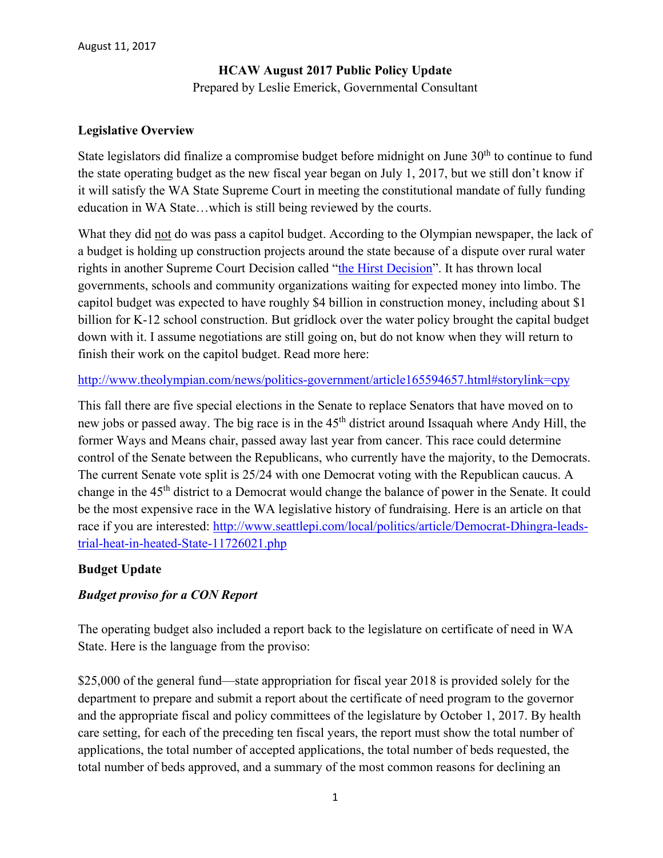## **HCAW August 2017 Public Policy Update** Prepared by Leslie Emerick, Governmental Consultant

#### **Legislative Overview**

State legislators did finalize a compromise budget before midnight on June  $30<sup>th</sup>$  to continue to fund the state operating budget as the new fiscal year began on July 1, 2017, but we still don't know if it will satisfy the WA State Supreme Court in meeting the constitutional mandate of fully funding education in WA State…which is still being reviewed by the courts.

What they did not do was pass a capitol budget. According to the Olympian newspaper, the lack of a budget is holding up construction projects around the state because of a dispute over rural water rights in another Supreme Court Decision called ["the Hirst Decision"](http://www.seattletimes.com/opinion/implement-hirst-decision-to-allocate-states-water-rights-cautiously-and-fairly/). It has thrown local governments, schools and community organizations waiting for expected money into limbo. The capitol budget was expected to have roughly \$4 billion in construction money, including about \$1 billion for K-12 school construction. But gridlock over the water policy brought the capital budget down with it. I assume negotiations are still going on, but do not know when they will return to finish their work on the capitol budget. Read more here:

<http://www.theolympian.com/news/politics-government/article165594657.html#storylink=cpy>

This fall there are five special elections in the Senate to replace Senators that have moved on to new jobs or passed away. The big race is in the 45<sup>th</sup> district around Issaquah where Andy Hill, the former Ways and Means chair, passed away last year from cancer. This race could determine control of the Senate between the Republicans, who currently have the majority, to the Democrats. The current Senate vote split is 25/24 with one Democrat voting with the Republican caucus. A change in the 45th district to a Democrat would change the balance of power in the Senate. It could be the most expensive race in the WA legislative history of fundraising. Here is an article on that race if you are interested: [http://www.seattlepi.com/local/politics/article/Democrat-Dhingra-leads](http://www.seattlepi.com/local/politics/article/Democrat-Dhingra-leads-trial-heat-in-heated-State-11726021.php)[trial-heat-in-heated-State-11726021.php](http://www.seattlepi.com/local/politics/article/Democrat-Dhingra-leads-trial-heat-in-heated-State-11726021.php)

#### **Budget Update**

## *Budget proviso for a CON Report*

The operating budget also included a report back to the legislature on certificate of need in WA State. Here is the language from the proviso:

\$25,000 of the general fund—state appropriation for fiscal year 2018 is provided solely for the department to prepare and submit a report about the certificate of need program to the governor and the appropriate fiscal and policy committees of the legislature by October 1, 2017. By health care setting, for each of the preceding ten fiscal years, the report must show the total number of applications, the total number of accepted applications, the total number of beds requested, the total number of beds approved, and a summary of the most common reasons for declining an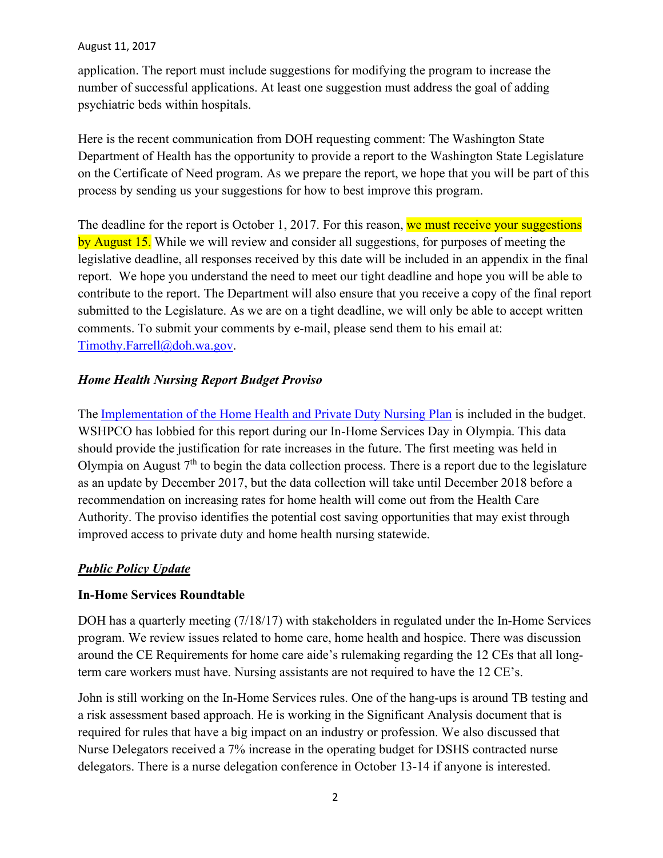application. The report must include suggestions for modifying the program to increase the number of successful applications. At least one suggestion must address the goal of adding psychiatric beds within hospitals.

Here is the recent communication from DOH requesting comment: The Washington State Department of Health has the opportunity to provide a report to the Washington State Legislature on the Certificate of Need program. As we prepare the report, we hope that you will be part of this process by sending us your suggestions for how to best improve this program.

The deadline for the report is October 1, 2017. For this reason, we must receive your suggestions by August 15. While we will review and consider all suggestions, for purposes of meeting the legislative deadline, all responses received by this date will be included in an appendix in the final report. We hope you understand the need to meet our tight deadline and hope you will be able to contribute to the report. The Department will also ensure that you receive a copy of the final report submitted to the Legislature. As we are on a tight deadline, we will only be able to accept written comments. To submit your comments by e-mail, please send them to his email at: [Timothy.Farrell@doh.wa.gov.](mailto:Timothy.Farrell@doh.wa.gov)

## *Home Health Nursing Report Budget Proviso*

The [Implementation of the Home Health and Private Duty Nursing Plan](https://www.hca.wa.gov/assets/2eshb-2376-home-health-nursing.pdf) is included in the budget. WSHPCO has lobbied for this report during our In-Home Services Day in Olympia. This data should provide the justification for rate increases in the future. The first meeting was held in Olympia on August  $7<sup>th</sup>$  to begin the data collection process. There is a report due to the legislature as an update by December 2017, but the data collection will take until December 2018 before a recommendation on increasing rates for home health will come out from the Health Care Authority. The proviso identifies the potential cost saving opportunities that may exist through improved access to private duty and home health nursing statewide.

## *Public Policy Update*

## **In-Home Services Roundtable**

DOH has a quarterly meeting (7/18/17) with stakeholders in regulated under the In-Home Services program. We review issues related to home care, home health and hospice. There was discussion around the CE Requirements for home care aide's rulemaking regarding the 12 CEs that all longterm care workers must have. Nursing assistants are not required to have the 12 CE's.

John is still working on the In-Home Services rules. One of the hang-ups is around TB testing and a risk assessment based approach. He is working in the Significant Analysis document that is required for rules that have a big impact on an industry or profession. We also discussed that Nurse Delegators received a 7% increase in the operating budget for DSHS contracted nurse delegators. There is a nurse delegation conference in October 13-14 if anyone is interested.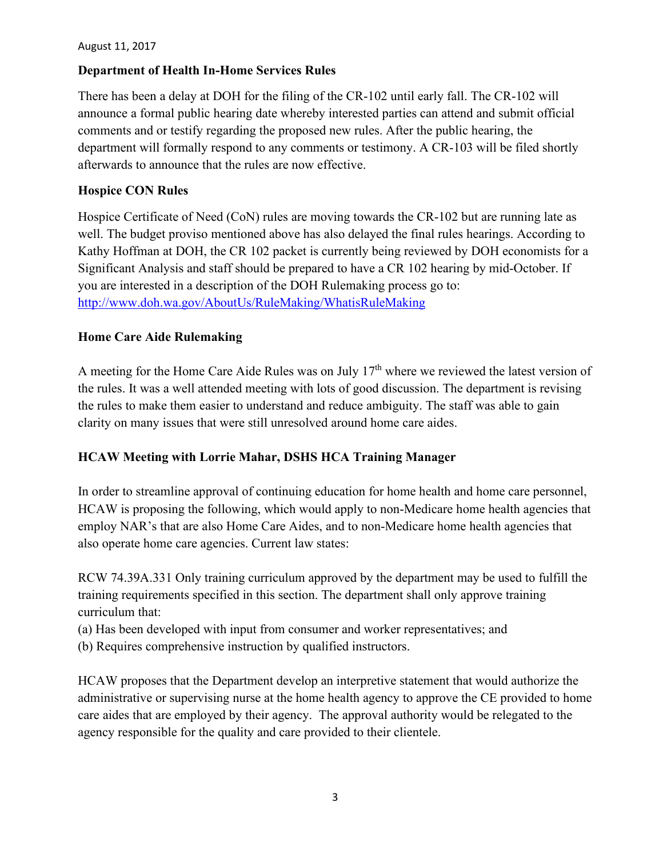#### **Department of Health In-Home Services Rules**

There has been a delay at DOH for the filing of the CR-102 until early fall. The CR-102 will announce a formal public hearing date whereby interested parties can attend and submit official comments and or testify regarding the proposed new rules. After the public hearing, the department will formally respond to any comments or testimony. A CR-103 will be filed shortly afterwards to announce that the rules are now effective.

#### **Hospice CON Rules**

Hospice Certificate of Need (CoN) rules are moving towards the CR-102 but are running late as well. The budget proviso mentioned above has also delayed the final rules hearings. According to Kathy Hoffman at DOH, the CR 102 packet is currently being reviewed by DOH economists for a Significant Analysis and staff should be prepared to have a CR 102 hearing by mid-October. If you are interested in a description of the DOH Rulemaking process go to: <http://www.doh.wa.gov/AboutUs/RuleMaking/WhatisRuleMaking>

#### **Home Care Aide Rulemaking**

A meeting for the Home Care Aide Rules was on July 17<sup>th</sup> where we reviewed the latest version of the rules. It was a well attended meeting with lots of good discussion. The department is revising the rules to make them easier to understand and reduce ambiguity. The staff was able to gain clarity on many issues that were still unresolved around home care aides.

## **HCAW Meeting with Lorrie Mahar, DSHS HCA Training Manager**

In order to streamline approval of continuing education for home health and home care personnel, HCAW is proposing the following, which would apply to non-Medicare home health agencies that employ NAR's that are also Home Care Aides, and to non-Medicare home health agencies that also operate home care agencies. Current law states:

RCW 74.39A.331 Only training curriculum approved by the department may be used to fulfill the training requirements specified in this section. The department shall only approve training curriculum that:

- (a) Has been developed with input from consumer and worker representatives; and
- (b) Requires comprehensive instruction by qualified instructors.

HCAW proposes that the Department develop an interpretive statement that would authorize the administrative or supervising nurse at the home health agency to approve the CE provided to home care aides that are employed by their agency. The approval authority would be relegated to the agency responsible for the quality and care provided to their clientele.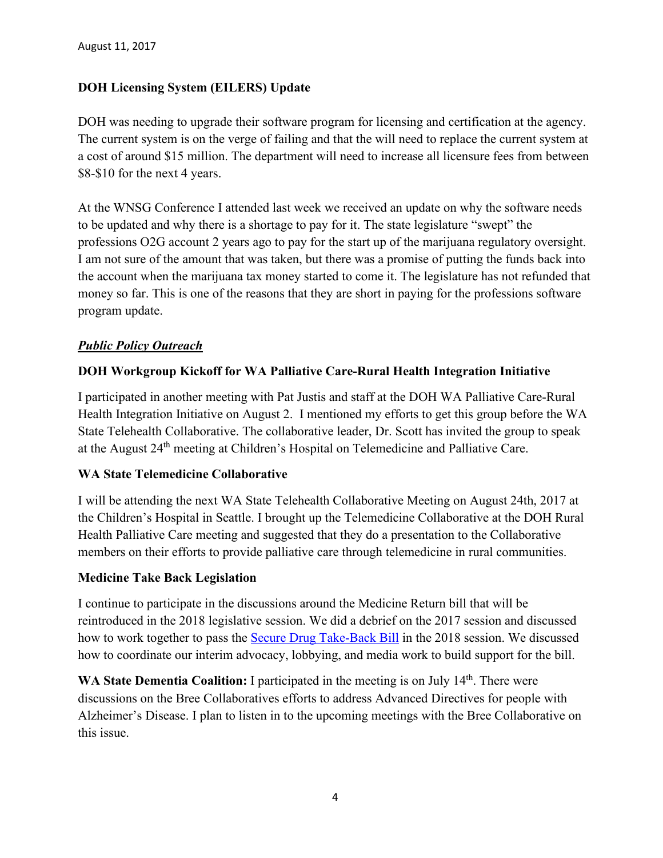## **DOH Licensing System (EILERS) Update**

DOH was needing to upgrade their software program for licensing and certification at the agency. The current system is on the verge of failing and that the will need to replace the current system at a cost of around \$15 million. The department will need to increase all licensure fees from between \$8-\$10 for the next 4 years.

At the WNSG Conference I attended last week we received an update on why the software needs to be updated and why there is a shortage to pay for it. The state legislature "swept" the professions O2G account 2 years ago to pay for the start up of the marijuana regulatory oversight. I am not sure of the amount that was taken, but there was a promise of putting the funds back into the account when the marijuana tax money started to come it. The legislature has not refunded that money so far. This is one of the reasons that they are short in paying for the professions software program update.

## *Public Policy Outreach*

#### **DOH Workgroup Kickoff for WA Palliative Care-Rural Health Integration Initiative**

I participated in another meeting with Pat Justis and staff at the DOH WA Palliative Care-Rural Health Integration Initiative on August 2. I mentioned my efforts to get this group before the WA State Telehealth Collaborative. The collaborative leader, Dr. Scott has invited the group to speak at the August 24<sup>th</sup> meeting at Children's Hospital on Telemedicine and Palliative Care.

#### **WA State Telemedicine Collaborative**

I will be attending the next WA State Telehealth Collaborative Meeting on August 24th, 2017 at the Children's Hospital in Seattle. I brought up the Telemedicine Collaborative at the DOH Rural Health Palliative Care meeting and suggested that they do a presentation to the Collaborative members on their efforts to provide palliative care through telemedicine in rural communities.

#### **Medicine Take Back Legislation**

I continue to participate in the discussions around the Medicine Return bill that will be reintroduced in the 2018 legislative session. We did a debrief on the 2017 session and discussed how to work together to pass the [Secure Drug Take-Back Bill](http://app.leg.wa.gov/billsummary?BillNumber=1047&Year=2017) in the 2018 session. We discussed how to coordinate our interim advocacy, lobbying, and media work to build support for the bill.

WA State Dementia Coalition: I participated in the meeting is on July 14<sup>th</sup>. There were discussions on the Bree Collaboratives efforts to address Advanced Directives for people with Alzheimer's Disease. I plan to listen in to the upcoming meetings with the Bree Collaborative on this issue.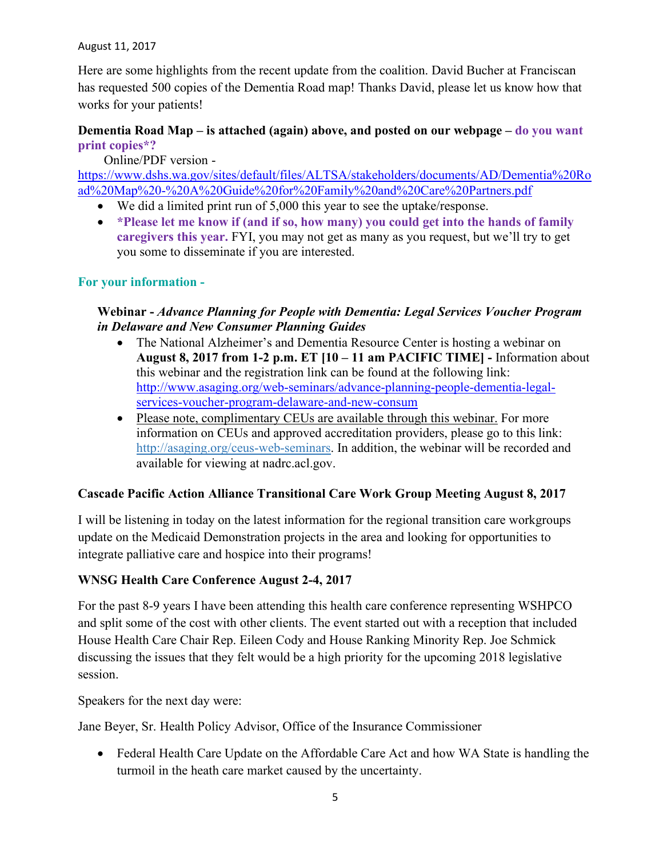Here are some highlights from the recent update from the coalition. David Bucher at Franciscan has requested 500 copies of the Dementia Road map! Thanks David, please let us know how that works for your patients!

## **Dementia Road Map – is attached (again) above, and posted on our webpage – do you want print copies\*?**

Online/PDF version -

[https://www.dshs.wa.gov/sites/default/files/ALTSA/stakeholders/documents/AD/Dementia%20Ro](https://www.dshs.wa.gov/sites/default/files/ALTSA/stakeholders/documents/AD/Dementia%20Road%20Map%20-%20A%20Guide%20for%20Family%20and%20Care%20Partners.pdf) [ad%20Map%20-%20A%20Guide%20for%20Family%20and%20Care%20Partners.pdf](https://www.dshs.wa.gov/sites/default/files/ALTSA/stakeholders/documents/AD/Dementia%20Road%20Map%20-%20A%20Guide%20for%20Family%20and%20Care%20Partners.pdf)

- We did a limited print run of 5,000 this year to see the uptake/response.
- **\*Please let me know if (and if so, how many) you could get into the hands of family caregivers this year.** FYI, you may not get as many as you request, but we'll try to get you some to disseminate if you are interested.

## **For your information -**

## **Webinar -** *Advance Planning for People with Dementia: Legal Services Voucher Program in Delaware and New Consumer Planning Guides*

- The National Alzheimer's and Dementia Resource Center is hosting a webinar on **August 8, 2017 from 1-2 p.m. ET [10 – 11 am PACIFIC TIME] -** Information about this webinar and the registration link can be found at the following link: [http://www.asaging.org/web-seminars/advance-planning-people-dementia-legal](http://www.asaging.org/web-seminars/advance-planning-people-dementia-legal-services-voucher-program-delaware-and-new-consum)[services-voucher-program-delaware-and-new-consum](http://www.asaging.org/web-seminars/advance-planning-people-dementia-legal-services-voucher-program-delaware-and-new-consum)
- Please note, complimentary CEUs are available through this webinar. For more information on CEUs and approved accreditation providers, please go to this link: [http://asaging.org/ceus-web-seminars.](http://asaging.org/ceus-web-seminars) In addition, the webinar will be recorded and available for viewing at nadrc.acl.gov.

## **Cascade Pacific Action Alliance Transitional Care Work Group Meeting August 8, 2017**

I will be listening in today on the latest information for the regional transition care workgroups update on the Medicaid Demonstration projects in the area and looking for opportunities to integrate palliative care and hospice into their programs!

## **WNSG Health Care Conference August 2-4, 2017**

For the past 8-9 years I have been attending this health care conference representing WSHPCO and split some of the cost with other clients. The event started out with a reception that included House Health Care Chair Rep. Eileen Cody and House Ranking Minority Rep. Joe Schmick discussing the issues that they felt would be a high priority for the upcoming 2018 legislative session.

Speakers for the next day were:

Jane Beyer, Sr. Health Policy Advisor, Office of the Insurance Commissioner

• Federal Health Care Update on the Affordable Care Act and how WA State is handling the turmoil in the heath care market caused by the uncertainty.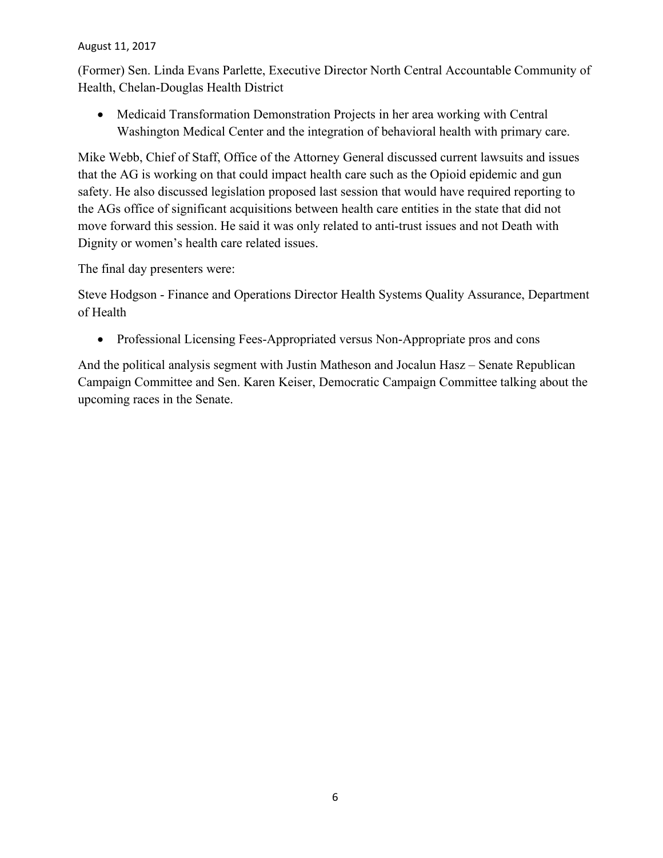(Former) Sen. Linda Evans Parlette, Executive Director North Central Accountable Community of Health, Chelan-Douglas Health District

• Medicaid Transformation Demonstration Projects in her area working with Central Washington Medical Center and the integration of behavioral health with primary care.

Mike Webb, Chief of Staff, Office of the Attorney General discussed current lawsuits and issues that the AG is working on that could impact health care such as the Opioid epidemic and gun safety. He also discussed legislation proposed last session that would have required reporting to the AGs office of significant acquisitions between health care entities in the state that did not move forward this session. He said it was only related to anti-trust issues and not Death with Dignity or women's health care related issues.

The final day presenters were:

Steve Hodgson - Finance and Operations Director Health Systems Quality Assurance, Department of Health

• Professional Licensing Fees-Appropriated versus Non-Appropriate pros and cons

And the political analysis segment with Justin Matheson and Jocalun Hasz – Senate Republican Campaign Committee and Sen. Karen Keiser, Democratic Campaign Committee talking about the upcoming races in the Senate.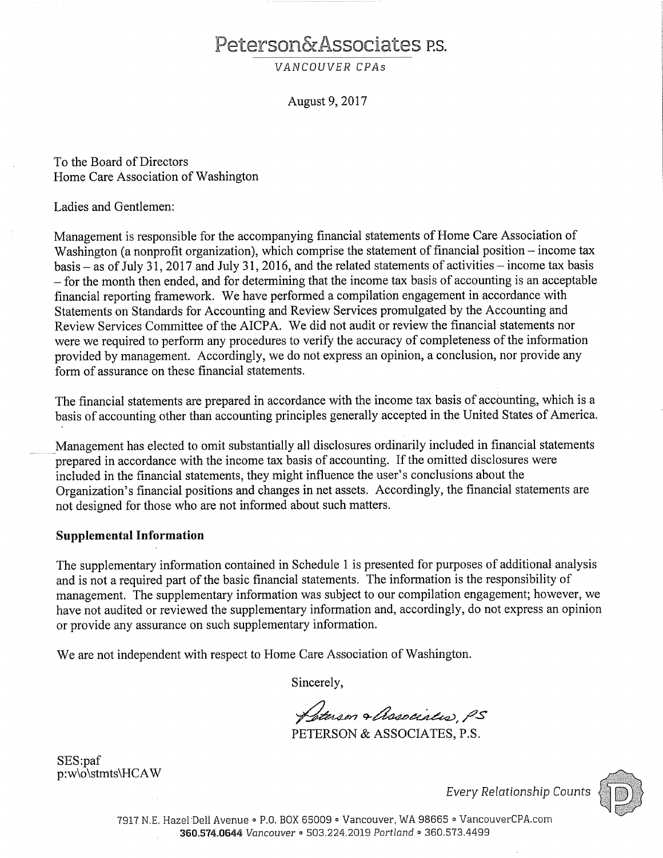# Peterson&Associates P.S.

VANCOUVER CPAs

August 9, 2017

To the Board of Directors Home Care Association of Washington

Ladies and Gentlemen:

Management is responsible for the accompanying financial statements of Home Care Association of Washington (a nonprofit organization), which comprise the statement of financial position – income tax basis – as of July 31, 2017 and July 31, 2016, and the related statements of activities – income tax basis - for the month then ended, and for determining that the income tax basis of accounting is an acceptable financial reporting framework. We have performed a compilation engagement in accordance with Statements on Standards for Accounting and Review Services promulgated by the Accounting and Review Services Committee of the AICPA. We did not audit or review the financial statements nor were we required to perform any procedures to verify the accuracy of completeness of the information provided by management. Accordingly, we do not express an opinion, a conclusion, nor provide any form of assurance on these financial statements.

The financial statements are prepared in accordance with the income tax basis of accounting, which is a basis of accounting other than accounting principles generally accepted in the United States of America.

Management has elected to omit substantially all disclosures ordinarily included in financial statements prepared in accordance with the income tax basis of accounting. If the omitted disclosures were included in the financial statements, they might influence the user's conclusions about the Organization's financial positions and changes in net assets. Accordingly, the financial statements are not designed for those who are not informed about such matters.

#### **Supplemental Information**

The supplementary information contained in Schedule 1 is presented for purposes of additional analysis and is not a required part of the basic financial statements. The information is the responsibility of management. The supplementary information was subject to our compilation engagement; however, we have not audited or reviewed the supplementary information and, accordingly, do not express an opinion or provide any assurance on such supplementary information.

We are not independent with respect to Home Care Association of Washington.

Sincerely,

Deterson & Associatio, PS PETERSON & ASSOCIATES, P.S.

SES:paf p:w\o\stmts\HCAW

**Every Relationship Counts** 

7917 N.E. Hazel Dell Avenue · P.O. BOX 65009 · Vancouver, WA 98665 · VancouverCPA.com 360.574.0644 Vancouver . 503.224.2019 Portland . 360.573.4499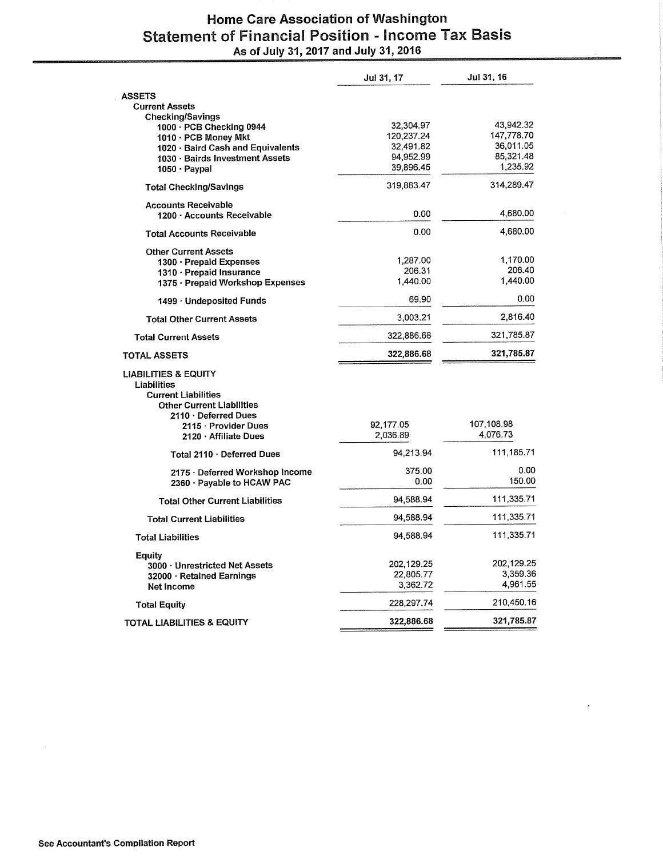# Home Care Association of Washington Statement of Financial Position - Income Tax Basis<br>As of July 31, 2017 and July 31, 2016

|                                                                              | Jul 31, 17         | Jul 31, 16             |
|------------------------------------------------------------------------------|--------------------|------------------------|
| <b>ASSETS</b>                                                                |                    |                        |
| <b>Current Assets</b>                                                        |                    |                        |
| <b>Checking/Savings</b><br>1000 · PCB Checking 0944                          | 32,304.97          | 43,942.32              |
| 1010 · PCB Money Mkt                                                         | 120,237.24         | 147,778.70             |
| 1020 · Baird Cash and Equivalents                                            | 32,491.82          | 36,011.05              |
| 1030 · Bairds Investment Assets                                              | 94,952.99          | 85,321.48              |
| 1050 · Paypal                                                                | 39,896.45          | 1,235.92               |
| <b>Total Checking/Savings</b>                                                | 319,883.47         | 314,289.47             |
| <b>Accounts Receivable</b>                                                   |                    |                        |
| 1200 · Accounts Receivable                                                   | 0.00               | 4,680.00               |
| <b>Total Accounts Receivable</b>                                             | 0.00               | 4,680.00               |
| <b>Other Current Assets</b>                                                  |                    |                        |
| 1300 · Prepaid Expenses                                                      | 1,287.00           | 1,170.00<br>206.40     |
| 1310 · Prepaid Insurance                                                     | 206.31<br>1,440.00 | 1,440.00               |
| 1375 · Prepaid Workshop Expenses                                             |                    |                        |
| $1499 \cdot$ Undeposited Funds                                               | 69.90              | 0.00                   |
| Total Other Current Assets                                                   | 3,003.21           | 2,816.40               |
| <b>Total Current Assets</b>                                                  | 322,886.68         | 321,785.87             |
| <b>TOTAL ASSETS</b>                                                          | 322,886.68         | 321,785.87             |
| <b>LIABILITIES &amp; EQUITY</b><br>Liabilities<br><b>Current Liabilities</b> |                    |                        |
| <b>Other Current Liabilities</b>                                             |                    |                        |
| $2110 \cdot$ Deferred Dues                                                   |                    |                        |
| 2115 · Provider Dues                                                         | 92,177.05          | 107,108.98<br>4,076.73 |
| 2120 Affiliate Dues                                                          | 2,036.89           |                        |
| Total 2110 · Deferred Dues                                                   | 94,213.94          | 111,185.71             |
| 2175 · Deferred Workshop Income                                              | 375.00             | 0.00                   |
| 2360 Payable to HCAW PAC                                                     | 0.00               | 150.00                 |
| <b>Total Other Current Liabilities</b>                                       | 94,588.94          | 111,335.71             |
| <b>Total Current Liabilities</b>                                             | 94,588.94          | 111,335.71             |
| <b>Total Liabilities</b>                                                     | 94,588.94          | 111,335.71             |
| Equity                                                                       |                    |                        |
| 3000 · Unrestricted Net Assets                                               | 202,129.25         | 202,129.25             |
| 32000 · Retained Earnings                                                    | 22,805.77          | 3,359.36               |
| Net Income                                                                   | 3,362.72           | 4,961.55               |
| <b>Total Equity</b>                                                          | 228,297.74         | 210,450.16             |
| TOTAL LIABILITIES & EQUITY                                                   | 322,886.68         | 321,785.87             |

 $\mathcal{A}^{\mathcal{A}}$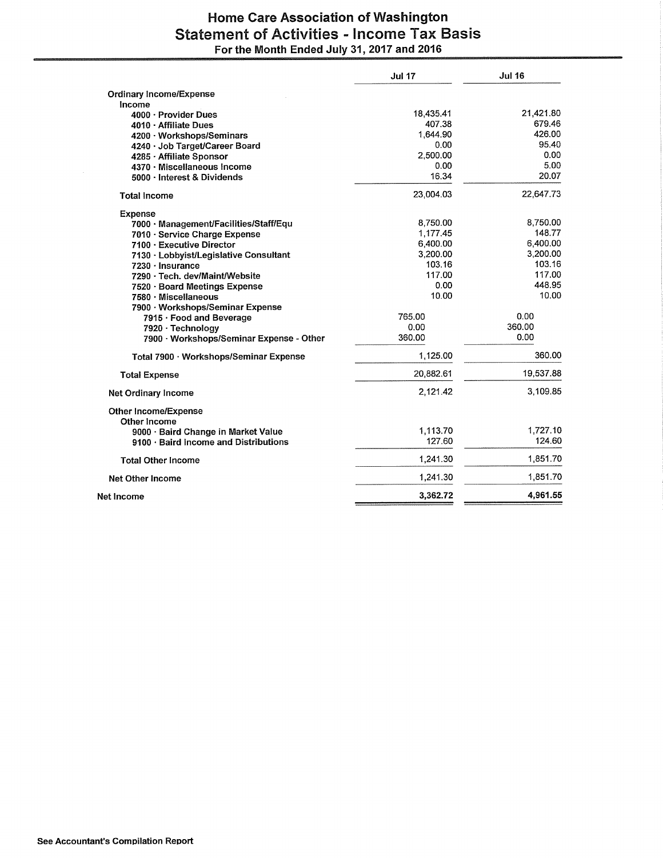## **Home Care Association of Washington Statement of Activities - Income Tax Basis** For the Month Ended July 31, 2017 and 2016

| <b>Ordinary Income/Expense</b><br>Income<br>21,421.80<br>18,435.41<br>4000 · Provider Dues<br>679.46<br>407.38<br>4010 · Affiliate Dues<br>426.00<br>1.644.90<br>4200 · Workshops/Seminars<br>95.40<br>0.00<br>4240 · Job Target/Career Board<br>0.00<br>2,500.00<br>4285 · Affiliate Sponsor<br>5.00<br>0.00<br>4370 · Miscellaneous Income<br>20.07<br>16.34<br>5000 · Interest & Dividends<br>22,647.73<br>23.004.03<br><b>Total Income</b><br><b>Expense</b><br>8,750.00<br>8,750.00<br>7000 · Management/Facilities/Staff/Equ<br>148.77<br>1,177.45<br>7010 · Service Charge Expense<br>6,400.00<br>6,400.00<br>7100 · Executive Director<br>3,200.00<br>3,200.00<br>7130 · Lobbyist/Legislative Consultant<br>103.16<br>103.16<br>7230 · Insurance<br>117.00<br>117.00<br>7290 · Tech. dev/Maint/Website<br>448.95<br>0.00<br>7520 · Board Meetings Expense<br>10.00<br>10.00<br>7580 · Miscellaneous<br>7900 · Workshops/Seminar Expense<br>0.00<br>765.00<br>7915 · Food and Beverage<br>360.00<br>0.00<br>7920 · Technology<br>360.00<br>0.00<br>7900 · Workshops/Seminar Expense - Other<br>360.00<br>1,125.00<br>Total 7900 · Workshops/Seminar Expense<br>19,537.88<br>20,882.61<br><b>Total Expense</b><br>2,121.42<br><b>Net Ordinary Income</b><br><b>Other Income/Expense</b><br>Other Income<br>1,113.70<br>9000 · Baird Change in Market Value<br>127.60<br>9100 · Baird Income and Distributions<br>1,241.30<br><b>Total Other Income</b><br>1,241.30<br><b>Net Other Income</b><br>3,362.72<br>Net Income | <b>Jul 17</b> | <b>Jul 16</b> |
|-------------------------------------------------------------------------------------------------------------------------------------------------------------------------------------------------------------------------------------------------------------------------------------------------------------------------------------------------------------------------------------------------------------------------------------------------------------------------------------------------------------------------------------------------------------------------------------------------------------------------------------------------------------------------------------------------------------------------------------------------------------------------------------------------------------------------------------------------------------------------------------------------------------------------------------------------------------------------------------------------------------------------------------------------------------------------------------------------------------------------------------------------------------------------------------------------------------------------------------------------------------------------------------------------------------------------------------------------------------------------------------------------------------------------------------------------------------------------------------------------------------------------------|---------------|---------------|
|                                                                                                                                                                                                                                                                                                                                                                                                                                                                                                                                                                                                                                                                                                                                                                                                                                                                                                                                                                                                                                                                                                                                                                                                                                                                                                                                                                                                                                                                                                                               |               |               |
|                                                                                                                                                                                                                                                                                                                                                                                                                                                                                                                                                                                                                                                                                                                                                                                                                                                                                                                                                                                                                                                                                                                                                                                                                                                                                                                                                                                                                                                                                                                               |               |               |
|                                                                                                                                                                                                                                                                                                                                                                                                                                                                                                                                                                                                                                                                                                                                                                                                                                                                                                                                                                                                                                                                                                                                                                                                                                                                                                                                                                                                                                                                                                                               |               |               |
|                                                                                                                                                                                                                                                                                                                                                                                                                                                                                                                                                                                                                                                                                                                                                                                                                                                                                                                                                                                                                                                                                                                                                                                                                                                                                                                                                                                                                                                                                                                               |               |               |
|                                                                                                                                                                                                                                                                                                                                                                                                                                                                                                                                                                                                                                                                                                                                                                                                                                                                                                                                                                                                                                                                                                                                                                                                                                                                                                                                                                                                                                                                                                                               |               |               |
|                                                                                                                                                                                                                                                                                                                                                                                                                                                                                                                                                                                                                                                                                                                                                                                                                                                                                                                                                                                                                                                                                                                                                                                                                                                                                                                                                                                                                                                                                                                               |               |               |
|                                                                                                                                                                                                                                                                                                                                                                                                                                                                                                                                                                                                                                                                                                                                                                                                                                                                                                                                                                                                                                                                                                                                                                                                                                                                                                                                                                                                                                                                                                                               |               |               |
|                                                                                                                                                                                                                                                                                                                                                                                                                                                                                                                                                                                                                                                                                                                                                                                                                                                                                                                                                                                                                                                                                                                                                                                                                                                                                                                                                                                                                                                                                                                               |               |               |
|                                                                                                                                                                                                                                                                                                                                                                                                                                                                                                                                                                                                                                                                                                                                                                                                                                                                                                                                                                                                                                                                                                                                                                                                                                                                                                                                                                                                                                                                                                                               |               |               |
|                                                                                                                                                                                                                                                                                                                                                                                                                                                                                                                                                                                                                                                                                                                                                                                                                                                                                                                                                                                                                                                                                                                                                                                                                                                                                                                                                                                                                                                                                                                               |               |               |
|                                                                                                                                                                                                                                                                                                                                                                                                                                                                                                                                                                                                                                                                                                                                                                                                                                                                                                                                                                                                                                                                                                                                                                                                                                                                                                                                                                                                                                                                                                                               |               |               |
|                                                                                                                                                                                                                                                                                                                                                                                                                                                                                                                                                                                                                                                                                                                                                                                                                                                                                                                                                                                                                                                                                                                                                                                                                                                                                                                                                                                                                                                                                                                               |               |               |
|                                                                                                                                                                                                                                                                                                                                                                                                                                                                                                                                                                                                                                                                                                                                                                                                                                                                                                                                                                                                                                                                                                                                                                                                                                                                                                                                                                                                                                                                                                                               |               |               |
|                                                                                                                                                                                                                                                                                                                                                                                                                                                                                                                                                                                                                                                                                                                                                                                                                                                                                                                                                                                                                                                                                                                                                                                                                                                                                                                                                                                                                                                                                                                               |               |               |
|                                                                                                                                                                                                                                                                                                                                                                                                                                                                                                                                                                                                                                                                                                                                                                                                                                                                                                                                                                                                                                                                                                                                                                                                                                                                                                                                                                                                                                                                                                                               |               |               |
|                                                                                                                                                                                                                                                                                                                                                                                                                                                                                                                                                                                                                                                                                                                                                                                                                                                                                                                                                                                                                                                                                                                                                                                                                                                                                                                                                                                                                                                                                                                               |               |               |
|                                                                                                                                                                                                                                                                                                                                                                                                                                                                                                                                                                                                                                                                                                                                                                                                                                                                                                                                                                                                                                                                                                                                                                                                                                                                                                                                                                                                                                                                                                                               |               |               |
|                                                                                                                                                                                                                                                                                                                                                                                                                                                                                                                                                                                                                                                                                                                                                                                                                                                                                                                                                                                                                                                                                                                                                                                                                                                                                                                                                                                                                                                                                                                               |               |               |
|                                                                                                                                                                                                                                                                                                                                                                                                                                                                                                                                                                                                                                                                                                                                                                                                                                                                                                                                                                                                                                                                                                                                                                                                                                                                                                                                                                                                                                                                                                                               |               |               |
|                                                                                                                                                                                                                                                                                                                                                                                                                                                                                                                                                                                                                                                                                                                                                                                                                                                                                                                                                                                                                                                                                                                                                                                                                                                                                                                                                                                                                                                                                                                               |               |               |
|                                                                                                                                                                                                                                                                                                                                                                                                                                                                                                                                                                                                                                                                                                                                                                                                                                                                                                                                                                                                                                                                                                                                                                                                                                                                                                                                                                                                                                                                                                                               |               |               |
|                                                                                                                                                                                                                                                                                                                                                                                                                                                                                                                                                                                                                                                                                                                                                                                                                                                                                                                                                                                                                                                                                                                                                                                                                                                                                                                                                                                                                                                                                                                               |               |               |
|                                                                                                                                                                                                                                                                                                                                                                                                                                                                                                                                                                                                                                                                                                                                                                                                                                                                                                                                                                                                                                                                                                                                                                                                                                                                                                                                                                                                                                                                                                                               |               |               |
|                                                                                                                                                                                                                                                                                                                                                                                                                                                                                                                                                                                                                                                                                                                                                                                                                                                                                                                                                                                                                                                                                                                                                                                                                                                                                                                                                                                                                                                                                                                               |               |               |
|                                                                                                                                                                                                                                                                                                                                                                                                                                                                                                                                                                                                                                                                                                                                                                                                                                                                                                                                                                                                                                                                                                                                                                                                                                                                                                                                                                                                                                                                                                                               |               |               |
|                                                                                                                                                                                                                                                                                                                                                                                                                                                                                                                                                                                                                                                                                                                                                                                                                                                                                                                                                                                                                                                                                                                                                                                                                                                                                                                                                                                                                                                                                                                               |               | 3,109.85      |
|                                                                                                                                                                                                                                                                                                                                                                                                                                                                                                                                                                                                                                                                                                                                                                                                                                                                                                                                                                                                                                                                                                                                                                                                                                                                                                                                                                                                                                                                                                                               |               |               |
|                                                                                                                                                                                                                                                                                                                                                                                                                                                                                                                                                                                                                                                                                                                                                                                                                                                                                                                                                                                                                                                                                                                                                                                                                                                                                                                                                                                                                                                                                                                               |               | 1,727.10      |
|                                                                                                                                                                                                                                                                                                                                                                                                                                                                                                                                                                                                                                                                                                                                                                                                                                                                                                                                                                                                                                                                                                                                                                                                                                                                                                                                                                                                                                                                                                                               |               | 124.60        |
|                                                                                                                                                                                                                                                                                                                                                                                                                                                                                                                                                                                                                                                                                                                                                                                                                                                                                                                                                                                                                                                                                                                                                                                                                                                                                                                                                                                                                                                                                                                               |               | 1,851.70      |
|                                                                                                                                                                                                                                                                                                                                                                                                                                                                                                                                                                                                                                                                                                                                                                                                                                                                                                                                                                                                                                                                                                                                                                                                                                                                                                                                                                                                                                                                                                                               |               | 1,851.70      |
|                                                                                                                                                                                                                                                                                                                                                                                                                                                                                                                                                                                                                                                                                                                                                                                                                                                                                                                                                                                                                                                                                                                                                                                                                                                                                                                                                                                                                                                                                                                               |               | 4,961.55      |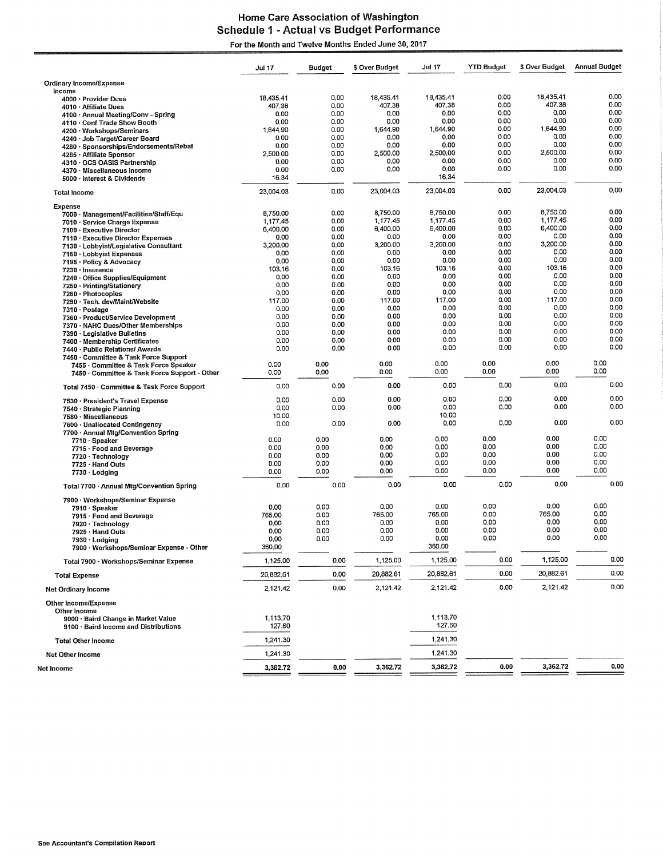#### **Home Care Association of Washington** Schedule 1 - Actual vs Budget Performance For the Month and Twelve Months Ended June 30, 2017

|                                                                                              | Jul 17                      | <b>Budget</b>        | \$ Over Budget              | <b>Jul 17</b>               | <b>YTD Budget</b>    | \$ Over Budget              | <b>Annual Budget</b> |
|----------------------------------------------------------------------------------------------|-----------------------------|----------------------|-----------------------------|-----------------------------|----------------------|-----------------------------|----------------------|
| Ordinary Income/Expense                                                                      |                             |                      |                             |                             |                      |                             |                      |
| Income<br>4000 · Provider Dues<br>4010 Affiliate Dues<br>4100 · Annual Meeting/Conv - Spring | 18,435.41<br>407.38<br>0.00 | 0.00<br>0.00<br>0.00 | 18.435.41<br>407.38<br>0.00 | 18,435.41<br>407.38<br>0,00 | 0.00<br>0.00<br>0.00 | 18,435.41<br>407.38<br>0.00 | 0.00<br>0,00<br>0.00 |
| 4110 · Conf Trade Show Booth                                                                 | 0.00                        | 0.00<br>0.00         | 0.00<br>1,644.90            | 0.00<br>1,644.90            | 0,00<br>0.00         | 0.00<br>1,644.90            | 0.00<br>0.00         |
| 4200 · Workshops/Seminars<br>4240 · Job Target/Career Board                                  | 1,644.90<br>0.00            | 0.00                 | 0.00                        | 0.00                        | 0.00                 | 0.00                        | 0,00                 |
| 4280 · Sponsorships/Endorsements/Rebat                                                       | 0.00<br>2,500.00            | 0.00<br>0.00         | 0.00<br>2,500.00            | 0.00<br>2,500.00            | 0.00<br>0.00         | 0.00<br>2,500.00            | 0.00<br>0.00         |
| 4285 · Affiliate Sponsor<br>4310 · OCS OASIS Partnership                                     | 0.00                        | 0.00                 | 0.00                        | 0.00                        | 0,00                 | 0.00                        | 0.00                 |
| 4370 · Miscellaneous Income                                                                  | 0.00<br>16.34               | 0.00                 | 0.00                        | 0.00<br>16.34               | 0.00                 | 0.00                        | 0.00                 |
| 5000 · Interest & Dividends<br><b>Total Income</b>                                           | 23.004.03                   | 0.00                 | 23,004.03                   | 23,004.03                   | 0.00                 | 23,004.03                   | 0.00                 |
| Expense                                                                                      |                             |                      |                             |                             |                      |                             |                      |
| 7000 · Management/Facilities/Staff/Equ                                                       | 8,750.00                    | 0.00                 | 8,750.00                    | 8,750.00<br>1.177.45        | 0.00<br>0.00         | 8,750.00<br>1,177.45        | 0.00<br>0.00         |
| 7010 · Service Charge Expense<br>7100 · Executive Director                                   | 1,177.45<br>6,400.00        | 0.00<br>0.00         | 1,177.45<br>6,400.00        | 6,400.00                    | 0.00                 | 6,400.00                    | 0.00                 |
| 7110 · Executive Director Expenses                                                           | 0.00                        | 0.00                 | 0.00                        | 0.00                        | 0.00                 | 0.00                        | 0.00                 |
| 7130 · Lobbyist/Legislative Consultant                                                       | 3,200.00<br>0.00            | 0,00<br>0,00         | 3,200.00<br>0.00            | 3,200.00<br>0,00            | 0.00<br>0.00         | 3,200.00<br>0.00            | 0.00<br>0.00         |
| 7150 · Lobbyist Expenses<br>7195 · Policy & Advocacy                                         | 0.00                        | 0.00                 | 0.00                        | 0.00                        | 0.00                 | 0,00                        | 0.00                 |
| 7230 · Insurance                                                                             | 103.16                      | 0,00                 | 103.16                      | 103.16                      | 0.00                 | 103.16                      | 0.00                 |
| 7240 Office Supplies/Equipment<br>7250 · Printing/Stationery                                 | 0.00<br>0.00                | 0.00<br>0,00         | 0.00<br>0.00                | 0.00<br>0.00                | 0.00<br>0.00         | 0.00<br>0.00                | 0.00<br>0.00         |
| 7260 · Photocopies                                                                           | 0.00                        | 0.00                 | 0.00                        | 0.00                        | 0.00                 | 0.00                        | 0.00                 |
| 7290 - Tech. dev/Maint/Website                                                               | 117.00                      | 0.00                 | 117.00                      | 117.00<br>0.00              | 0.00<br>0.00         | 117.00<br>0.00              | 0.00<br>0.00         |
| 7310 · Postage<br>7360 · Product/Service Development                                         | 0.00<br>0.00                | 0.00<br>0,00         | 0.00<br>0.00                | 0.00                        | 0.00                 | 0.00                        | 0.00                 |
| 7370 · NAHC Dues/Other Memberships                                                           | 0.00                        | 0.00                 | 0.00                        | 0.00                        | 0.00                 | 0.00                        | 0.00                 |
| 7390 · Legislative Bulletins<br>7400 · Membership Certificates                               | 0.00<br>0.00                | 0.00<br>0.00         | 0.00<br>0.00                | 0.00<br>0.00                | 0.00<br>0.00         | 0.00<br>0.00                | 0.00<br>0.00         |
| 7440 · Public Relations/ Awards<br>7450 · Committee & Task Force Support                     | 0.00                        | 0.00                 | 0.00                        | 0.00                        | 0.00                 | 0.00                        | 0.00                 |
| 7455 · Committee & Task Force Speaker<br>7450 · Committee & Task Force Support - Other       | 0.00<br>0.00                | 0.00<br>0.00         | 0.00<br>0.00                | 0.00<br>0.00                | 0.00<br>0.00         | 0.00<br>0.00                | 0.00<br>0.00         |
| Total 7450 · Committee & Task Force Support                                                  | 0.00                        | 0.00                 | 0.00                        | 0.00                        | 0.00                 | 0.00                        | 0.00                 |
| 7530 · President's Travel Expense                                                            | 0.00<br>0.00                | 0.00<br>0.00         | 0.00<br>0.00                | 0.00<br>0.00                | 0.00<br>0.00         | 0.00<br>0.00                | 0.00<br>0.00         |
| 7540 Strategic Planning<br>7580 · Miscellaneous                                              | 10.00                       |                      |                             | 10.00                       |                      |                             |                      |
| 7600 · Unallocated Contingency                                                               | 0.00                        | 0.00                 | 0.00                        | 0.00                        | 0,00                 | 0.00                        | 0.00                 |
| 7700 - Annual Mtg/Convention Spring<br>7710 · Speaker                                        | 0.00                        | 0.00                 | 0.00                        | 0.00                        | 0.00                 | 0.00                        | 0.00                 |
| 7715 · Food and Beverage                                                                     | 0.00                        | 0.00                 | 0.00                        | 0.00                        | 0.00                 | 0.00                        | 0.00                 |
| 7720 · Technology<br>7725 · Hand Outs                                                        | 0.00<br>0.00                | 0.00<br>0.00         | 0.00<br>0.00                | 0.00<br>0.00                | 0.00<br>0.00         | 0.00<br>0.00                | 0.00<br>0.00         |
| $7730 \cdot$ Lodging                                                                         | 0.00                        | 0.00                 | 0.00                        | 0.00                        | 0.00                 | 0.00                        | 0.00                 |
| Total 7700 · Annual Mtg/Convention Spring                                                    | 0.00                        | 0.00                 | 0.00                        | 0.00                        | 0.00                 | 0.00                        | 0.00                 |
| 7900 · Workshops/Seminar Expense                                                             |                             |                      |                             |                             |                      |                             |                      |
| 7910 · Speaker<br>7915 · Food and Beverage                                                   | 0.00<br>765.00              | 0.00<br>0.00         | 0,00<br>765.00              | 0.00<br>765.00              | 0.00<br>0.00         | 0.00<br>765.00              | 0.00<br>0.00         |
| 7920 · Technology                                                                            | 0.00                        | 0.00                 | 0.00                        | 0.00                        | 0.00                 | 0.00                        | 0.00                 |
| 7925 · Hand Outs                                                                             | 0.00                        | 0.00                 | 0.00<br>0.00                | 0.00<br>0.00                | 0.00<br>0.00         | 0.00<br>0.00                | 0.00<br>0.00         |
| 7930 · Lodging<br>7900 · Workshops/Seminar Expense - Other                                   | 0.00<br>360.00              | 0.00                 |                             | 360.00                      |                      |                             |                      |
| Total 7900 · Workshops/Seminar Expense                                                       | 1,125.00                    | 0.00                 | 1,125.00                    | 1,125.00                    | 0.00                 | 1,125.00                    | 0.00                 |
| <b>Total Expense</b>                                                                         | 20,882.61                   | 0.00                 | 20,882.61                   | 20,882.61                   | 0.00                 | 20,882.61                   | 0.00                 |
| Net Ordinary Income                                                                          | 2,121.42                    | 0.00                 | 2,121.42                    | 2,121.42                    | 0.00                 | 2,121.42                    | 0.00                 |
| Other Income/Expense                                                                         |                             |                      |                             |                             |                      |                             |                      |
| Other Income<br>9000 · Baird Change in Market Value<br>9100 · Baird Income and Distributions | 1,113.70<br>127.60          |                      |                             | 1,113.70<br>127.60          |                      |                             |                      |
| <b>Total Other Income</b>                                                                    | 1,241.30                    |                      |                             | 1,241.30                    |                      |                             |                      |
| Net Other Income                                                                             | 1,241.30                    |                      |                             | 1,241.30                    |                      |                             |                      |
| Net Income                                                                                   | 3,362.72                    | 0.00                 | 3,362.72                    | 3,362.72                    | 0.00                 | 3,362.72                    | 0.00                 |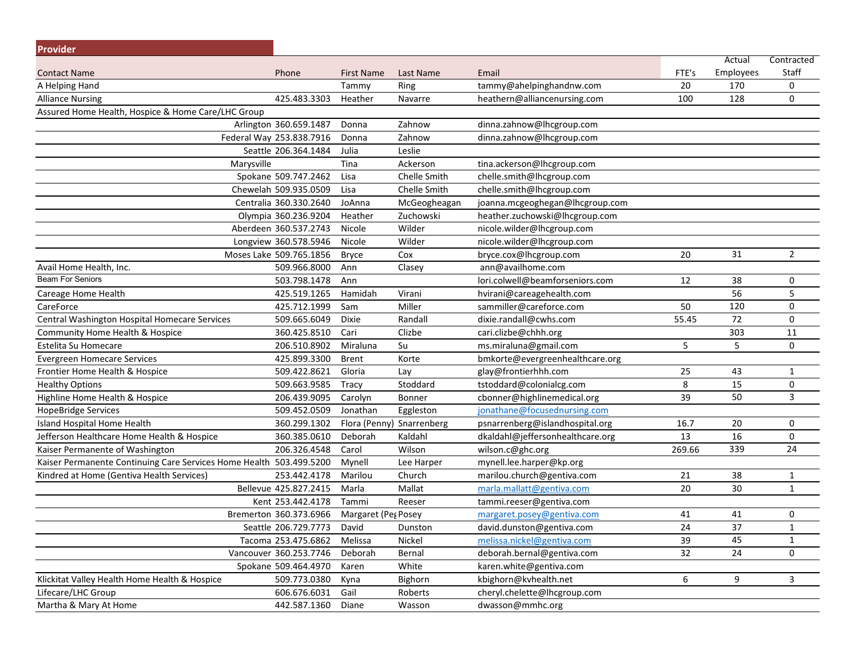| <b>Provider</b>                                                     |                          |                     |               |                                  |        |           |                |
|---------------------------------------------------------------------|--------------------------|---------------------|---------------|----------------------------------|--------|-----------|----------------|
|                                                                     |                          |                     |               |                                  |        | Actual    | Contracted     |
| <b>Contact Name</b>                                                 | Phone                    | <b>First Name</b>   | Last Name     | Email                            | FTE's  | Employees | Staff          |
| A Helping Hand                                                      |                          | Tammy               | Ring          | tammy@ahelpinghandnw.com         | 20     | 170       | 0              |
| <b>Alliance Nursing</b>                                             | 425.483.3303             | Heather             | Navarre       | heathern@alliancenursing.com     | 100    | 128       | 0              |
| Assured Home Health, Hospice & Home Care/LHC Group                  |                          |                     |               |                                  |        |           |                |
|                                                                     | Arlington 360.659.1487   | Donna               | Zahnow        | dinna.zahnow@lhcgroup.com        |        |           |                |
|                                                                     | Federal Way 253.838.7916 | Donna               | Zahnow        | dinna.zahnow@lhcgroup.com        |        |           |                |
|                                                                     | Seattle 206.364.1484     | Julia               | Leslie        |                                  |        |           |                |
|                                                                     | Marysville               | Tina                | Ackerson      | tina.ackerson@lhcgroup.com       |        |           |                |
|                                                                     | Spokane 509.747.2462     | Lisa                | Chelle Smith  | chelle.smith@lhcgroup.com        |        |           |                |
|                                                                     | Chewelah 509.935.0509    | Lisa                | Chelle Smith  | chelle.smith@lhcgroup.com        |        |           |                |
|                                                                     | Centralia 360.330.2640   | JoAnna              | McGeogheagan  | joanna.mcgeoghegan@lhcgroup.com  |        |           |                |
|                                                                     | Olympia 360.236.9204     | Heather             | Zuchowski     | heather.zuchowski@lhcgroup.com   |        |           |                |
|                                                                     | Aberdeen 360.537.2743    | Nicole              | Wilder        | nicole.wilder@lhcgroup.com       |        |           |                |
|                                                                     | Longview 360.578.5946    | Nicole              | Wilder        | nicole.wilder@lhcgroup.com       |        |           |                |
|                                                                     | Moses Lake 509.765.1856  | <b>Bryce</b>        | Cox           | bryce.cox@lhcgroup.com           | 20     | 31        | $\overline{2}$ |
| Avail Home Health, Inc.                                             | 509.966.8000             | Ann                 | Clasey        | ann@availhome.com                |        |           |                |
| <b>Beam For Seniors</b>                                             | 503.798.1478             | Ann                 |               | lori.colwell@beamforseniors.com  | 12     | 38        | 0              |
| Careage Home Health                                                 | 425.519.1265             | Hamidah             | Virani        | hvirani@careagehealth.com        |        | 56        | 5              |
| CareForce                                                           | 425.712.1999             | Sam                 | Miller        | sammiller@careforce.com          | 50     | 120       | 0              |
| Central Washington Hospital Homecare Services                       | 509.665.6049             | Dixie               | Randall       | dixie.randall@cwhs.com           | 55.45  | 72        | $\mathsf 0$    |
| Community Home Health & Hospice                                     | 360.425.8510             | Cari                | Clizbe        | cari.clizbe@chhh.org             |        | 303       | 11             |
| Estelita Su Homecare                                                | 206.510.8902             | Miraluna            | Su            | ms.miraluna@gmail.com            | 5      | 5         | 0              |
| <b>Evergreen Homecare Services</b>                                  | 425.899.3300             | Brent               | Korte         | bmkorte@evergreenhealthcare.org  |        |           |                |
| Frontier Home Health & Hospice                                      | 509.422.8621             | Gloria              | Lay           | glay@frontierhhh.com             | 25     | 43        | $\mathbf{1}$   |
| <b>Healthy Options</b>                                              | 509.663.9585             | Tracy               | Stoddard      | tstoddard@colonialcg.com         | 8      | 15        | 0              |
| Highline Home Health & Hospice                                      | 206.439.9095             | Carolyn             | <b>Bonner</b> | cbonner@highlinemedical.org      | 39     | 50        | 3              |
| <b>HopeBridge Services</b>                                          | 509.452.0509             | Jonathan            | Eggleston     | jonathane@focusednursing.com     |        |           |                |
| Island Hospital Home Health                                         | 360.299.1302             | Flora (Penny)       | Snarrenberg   | psnarrenberg@islandhospital.org  | 16.7   | 20        | 0              |
| Jefferson Healthcare Home Health & Hospice                          | 360.385.0610             | Deborah             | Kaldahl       | dkaldahl@jeffersonhealthcare.org | 13     | 16        | 0              |
| Kaiser Permanente of Washington                                     | 206.326.4548             | Carol               | Wilson        | wilson.c@ghc.org                 | 269.66 | 339       | 24             |
| Kaiser Permanente Continuing Care Services Home Health 503.499.5200 |                          | Mynell              | Lee Harper    | mynell.lee.harper@kp.org         |        |           |                |
| Kindred at Home (Gentiva Health Services)                           | 253.442.4178             | Marilou             | Church        | marilou.church@gentiva.com       | 21     | 38        | $\mathbf{1}$   |
|                                                                     | Bellevue 425.827.2415    | Marla               | Mallat        | marla.mallatt@gentiva.com        | 20     | 30        | $\mathbf{1}$   |
|                                                                     | Kent 253.442.4178        | Tammi               | Reeser        | tammi.reeser@gentiva.com         |        |           |                |
|                                                                     | Bremerton 360.373.6966   | Margaret (Peg Posey |               | margaret.posey@gentiva.com       | 41     | 41        | 0              |
|                                                                     | Seattle 206.729.7773     | David               | Dunston       | david.dunston@gentiva.com        | 24     | 37        | $\mathbf{1}$   |
|                                                                     | Tacoma 253.475.6862      | Melissa             | Nickel        | melissa.nickel@gentiva.com       | 39     | 45        | $\mathbf{1}$   |
|                                                                     | Vancouver 360.253.7746   | Deborah             | Bernal        | deborah.bernal@gentiva.com       | 32     | 24        | 0              |
|                                                                     | Spokane 509.464.4970     | Karen               | White         | karen.white@gentiva.com          |        |           |                |
| Klickitat Valley Health Home Health & Hospice                       | 509.773.0380             | Kyna                | Bighorn       | kbighorn@kvhealth.net            | 6      | 9         | 3              |
| Lifecare/LHC Group                                                  | 606.676.6031             | Gail                | Roberts       | cheryl.chelette@lhcgroup.com     |        |           |                |
| Martha & Mary At Home                                               | 442.587.1360             | Diane               | Wasson        | dwasson@mmhc.org                 |        |           |                |
|                                                                     |                          |                     |               |                                  |        |           |                |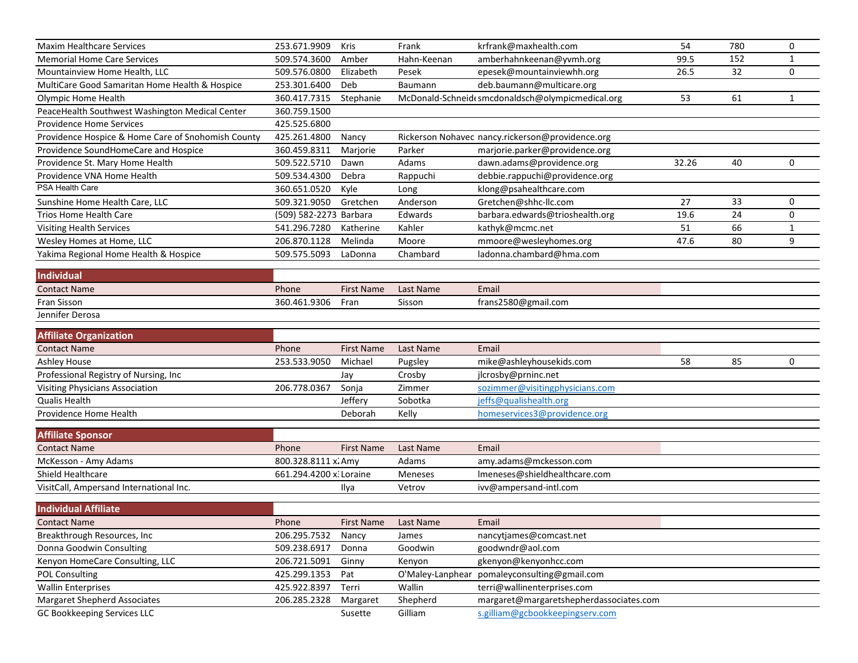| <b>Maxim Healthcare Services</b>                                   | 253.671.9909            | Kris                | Frank               | krfrank@maxhealth.com                                                      | 54    | 780 | 0            |
|--------------------------------------------------------------------|-------------------------|---------------------|---------------------|----------------------------------------------------------------------------|-------|-----|--------------|
| <b>Memorial Home Care Services</b>                                 | 509.574.3600            | Amber               | Hahn-Keenan         | amberhahnkeenan@yvmh.org                                                   | 99.5  | 152 | $\mathbf{1}$ |
| Mountainview Home Health, LLC                                      | 509.576.0800            | Elizabeth           | Pesek               | epesek@mountainviewhh.org                                                  | 26.5  | 32  | 0            |
| MultiCare Good Samaritan Home Health & Hospice                     | 253.301.6400            | Deb                 | Baumann             | deb.baumann@multicare.org                                                  |       |     |              |
| Olympic Home Health                                                | 360.417.7315            | Stephanie           |                     | McDonald-Schneid(smcdonaldsch@olympicmedical.org                           | 53    | 61  | $\mathbf{1}$ |
| PeaceHealth Southwest Washington Medical Center                    | 360.759.1500            |                     |                     |                                                                            |       |     |              |
| <b>Providence Home Services</b>                                    | 425.525.6800            |                     |                     |                                                                            |       |     |              |
| Providence Hospice & Home Care of Snohomish County                 | 425.261.4800            | Nancy               |                     | Rickerson Nohavec nancy.rickerson@providence.org                           |       |     |              |
| Providence SoundHomeCare and Hospice                               | 360.459.8311            | Marjorie            | Parker              | marjorie.parker@providence.org                                             |       |     |              |
| Providence St. Mary Home Health                                    | 509.522.5710            | Dawn                | Adams               | dawn.adams@providence.org                                                  | 32.26 | 40  | 0            |
| Providence VNA Home Health                                         | 509.534.4300            | Debra               | Rappuchi            | debbie.rappuchi@providence.org                                             |       |     |              |
| PSA Health Care                                                    | 360.651.0520            | Kyle                | Long                | klong@psahealthcare.com                                                    |       |     |              |
| Sunshine Home Health Care, LLC                                     | 509.321.9050            | Gretchen            | Anderson            | Gretchen@shhc-llc.com                                                      | 27    | 33  | 0            |
| <b>Trios Home Health Care</b>                                      | (509) 582-2273 Barbara  |                     | Edwards             | barbara.edwards@trioshealth.org                                            | 19.6  | 24  | 0            |
| <b>Visiting Health Services</b>                                    | 541.296.7280            | Katherine           | Kahler              | kathyk@mcmc.net                                                            | 51    | 66  | $\mathbf{1}$ |
| Wesley Homes at Home, LLC                                          | 206.870.1128            | Melinda             | Moore               | mmoore@wesleyhomes.org                                                     | 47.6  | 80  | 9            |
| Yakima Regional Home Health & Hospice                              | 509.575.5093            | LaDonna             | Chambard            | ladonna.chambard@hma.com                                                   |       |     |              |
| Individual                                                         |                         |                     |                     |                                                                            |       |     |              |
| <b>Contact Name</b>                                                | Phone                   | <b>First Name</b>   | Last Name           | Email                                                                      |       |     |              |
| Fran Sisson                                                        | 360.461.9306            | Fran                | Sisson              | frans2580@gmail.com                                                        |       |     |              |
| Jennifer Derosa                                                    |                         |                     |                     |                                                                            |       |     |              |
|                                                                    |                         |                     |                     |                                                                            |       |     |              |
| <b>Affiliate Organization</b>                                      |                         |                     |                     |                                                                            |       |     |              |
| <b>Contact Name</b>                                                | Phone                   | <b>First Name</b>   | Last Name           | Email                                                                      |       |     |              |
| Ashley House                                                       | 253.533.9050            | Michael             | Pugsley             | mike@ashleyhousekids.com                                                   | 58    | 85  | 0            |
| Professional Registry of Nursing, Inc                              |                         | Jay                 | Crosby              | jlcrosby@prninc.net                                                        |       |     |              |
| Visiting Physicians Association                                    | 206.778.0367            | Sonja               | Zimmer              | sozimmer@visitingphysicians.com                                            |       |     |              |
| Qualis Health                                                      |                         | Jeffery             | Sobotka             | jeffs@qualishealth.org                                                     |       |     |              |
| Providence Home Health                                             |                         | Deborah             | Kelly               | homeservices3@providence.org                                               |       |     |              |
| <b>Affiliate Sponsor</b>                                           |                         |                     |                     |                                                                            |       |     |              |
| <b>Contact Name</b>                                                | Phone                   | <b>First Name</b>   | Last Name           | Email                                                                      |       |     |              |
| McKesson - Amy Adams                                               | 800.328.8111 x. Amy     |                     | Adams               | amy.adams@mckesson.com                                                     |       |     |              |
| Shield Healthcare                                                  | 661.294.4200 x. Loraine |                     | Meneses             | Imeneses@shieldhealthcare.com                                              |       |     |              |
| VisitCall, Ampersand International Inc.                            |                         | Ilya                | Vetrov              | ivv@ampersand-intl.com                                                     |       |     |              |
|                                                                    |                         |                     |                     |                                                                            |       |     |              |
| <b>Individual Affiliate</b>                                        |                         |                     |                     |                                                                            |       |     |              |
| <b>Contact Name</b>                                                | Phone                   | First Name          | Last Name           | Email                                                                      |       |     |              |
| Breakthrough Resources, Inc                                        | 206.295.7532            | Nancy               | James               | nancytjames@comcast.net                                                    |       |     |              |
| Donna Goodwin Consulting                                           | 509.238.6917            | Donna               | Goodwin             | goodwndr@aol.com                                                           |       |     |              |
| Kenyon HomeCare Consulting, LLC                                    | 206.721.5091            | Ginny               | Kenyon              | gkenyon@kenyonhcc.com                                                      |       |     |              |
| <b>POL Consulting</b>                                              | 425.299.1353            | Pat                 | O'Maley-Lanphear    | pomaleyconsulting@gmail.com                                                |       |     |              |
| <b>Wallin Enterprises</b>                                          | 425.922.8397            | Terri               | Wallin              | terri@wallinenterprises.com                                                |       |     |              |
|                                                                    |                         |                     |                     |                                                                            |       |     |              |
| <b>Margaret Shepherd Associates</b><br>GC Bookkeeping Services LLC | 206.285.2328            | Margaret<br>Susette | Shepherd<br>Gilliam | margaret@margaretshepherdassociates.com<br>s.gilliam@gcbookkeepingserv.com |       |     |              |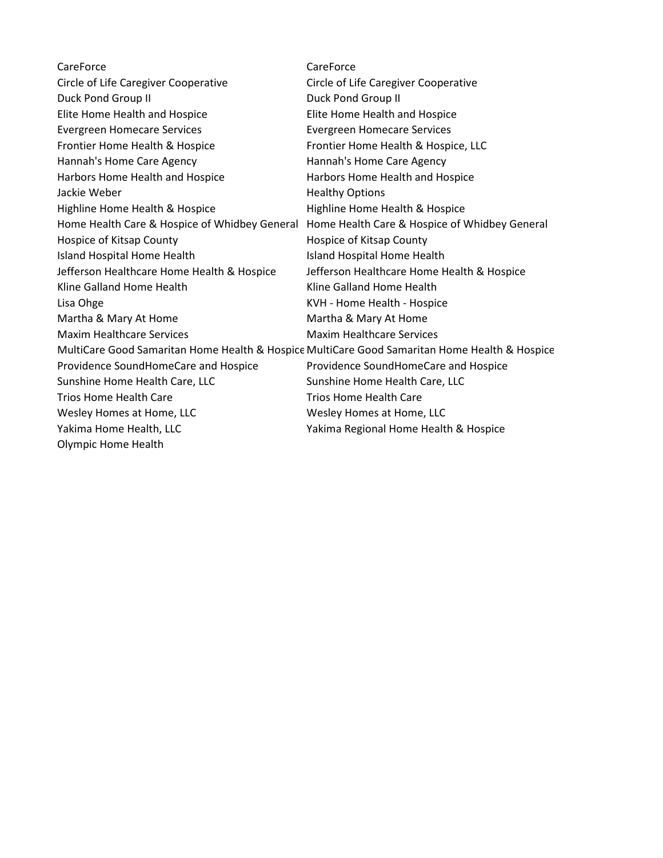| CareForce                                     | CareForce                                                                                     |
|-----------------------------------------------|-----------------------------------------------------------------------------------------------|
| Circle of Life Caregiver Cooperative          | Circle of Life Caregiver Cooperative                                                          |
| Duck Pond Group II                            | Duck Pond Group II                                                                            |
| Elite Home Health and Hospice                 | Elite Home Health and Hospice                                                                 |
| <b>Evergreen Homecare Services</b>            | <b>Evergreen Homecare Services</b>                                                            |
| Frontier Home Health & Hospice                | Frontier Home Health & Hospice, LLC                                                           |
| Hannah's Home Care Agency                     | Hannah's Home Care Agency                                                                     |
| Harbors Home Health and Hospice               | Harbors Home Health and Hospice                                                               |
| Jackie Weber                                  | <b>Healthy Options</b>                                                                        |
| Highline Home Health & Hospice                | Highline Home Health & Hospice                                                                |
| Home Health Care & Hospice of Whidbey General | Home Health Care & Hospice of Whidbey General                                                 |
| Hospice of Kitsap County                      | Hospice of Kitsap County                                                                      |
| Island Hospital Home Health                   | Island Hospital Home Health                                                                   |
| Jefferson Healthcare Home Health & Hospice    | Jefferson Healthcare Home Health & Hospice                                                    |
| Kline Galland Home Health                     | Kline Galland Home Health                                                                     |
| Lisa Ohge                                     | KVH - Home Health - Hospice                                                                   |
| Martha & Mary At Home                         | Martha & Mary At Home                                                                         |
| <b>Maxim Healthcare Services</b>              | <b>Maxim Healthcare Services</b>                                                              |
|                                               | MultiCare Good Samaritan Home Health & Hospice MultiCare Good Samaritan Home Health & Hospice |
| Providence SoundHomeCare and Hospice          | Providence SoundHomeCare and Hospice                                                          |
| Sunshine Home Health Care, LLC                | Sunshine Home Health Care, LLC                                                                |
| <b>Trios Home Health Care</b>                 | <b>Trios Home Health Care</b>                                                                 |
| Wesley Homes at Home, LLC                     | Wesley Homes at Home, LLC                                                                     |
| Yakima Home Health, LLC                       | Yakima Regional Home Health & Hospice                                                         |
| <b>Olympic Home Health</b>                    |                                                                                               |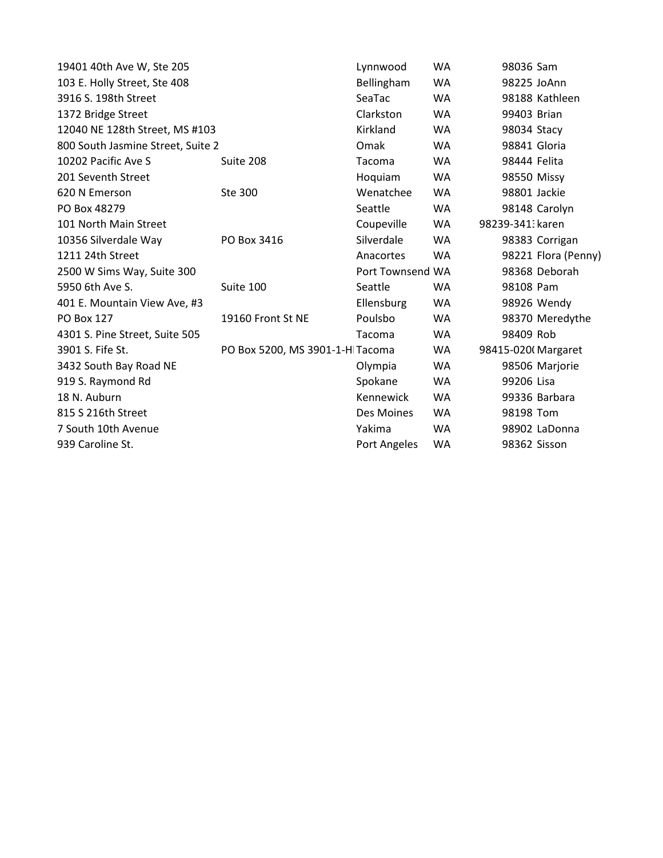| 19401 40th Ave W, Ste 205         | Lynnwood                        | <b>WA</b>        | 98036 Sam    |                    |                     |
|-----------------------------------|---------------------------------|------------------|--------------|--------------------|---------------------|
| 103 E. Holly Street, Ste 408      | Bellingham                      | <b>WA</b>        | 98225 JoAnn  |                    |                     |
| 3916 S. 198th Street              | SeaTac                          | <b>WA</b>        |              | 98188 Kathleen     |                     |
| 1372 Bridge Street                | Clarkston                       | <b>WA</b>        | 99403 Brian  |                    |                     |
| 12040 NE 128th Street, MS #103    | Kirkland                        | <b>WA</b>        | 98034 Stacy  |                    |                     |
| 800 South Jasmine Street, Suite 2 | Omak                            | <b>WA</b>        | 98841 Gloria |                    |                     |
| 10202 Pacific Ave S               | Suite 208                       | Tacoma           | <b>WA</b>    | 98444 Felita       |                     |
| 201 Seventh Street                |                                 | Hoquiam          | <b>WA</b>    | 98550 Missy        |                     |
| 620 N Emerson                     | Ste 300                         | Wenatchee        | <b>WA</b>    | 98801 Jackie       |                     |
| PO Box 48279                      |                                 | Seattle          | <b>WA</b>    |                    | 98148 Carolyn       |
| 101 North Main Street             |                                 | Coupeville       | <b>WA</b>    | 98239-341: karen   |                     |
| 10356 Silverdale Way              | PO Box 3416                     | Silverdale       | <b>WA</b>    |                    | 98383 Corrigan      |
| 1211 24th Street                  |                                 | Anacortes        | <b>WA</b>    |                    | 98221 Flora (Penny) |
| 2500 W Sims Way, Suite 300        |                                 | Port Townsend WA |              |                    | 98368 Deborah       |
| 5950 6th Ave S.                   | Suite 100                       | Seattle          | <b>WA</b>    | 98108 Pam          |                     |
| 401 E. Mountain View Ave, #3      |                                 | Ellensburg       | <b>WA</b>    |                    | 98926 Wendy         |
| <b>PO Box 127</b>                 | 19160 Front St NE               | Poulsbo          | <b>WA</b>    |                    | 98370 Meredythe     |
| 4301 S. Pine Street, Suite 505    |                                 | Tacoma           | <b>WA</b>    | 98409 Rob          |                     |
| 3901 S. Fife St.                  | PO Box 5200, MS 3901-1-H Tacoma |                  | WA           | 98415-020(Margaret |                     |
| 3432 South Bay Road NE            |                                 | Olympia          | WA           |                    | 98506 Marjorie      |
| 919 S. Raymond Rd                 |                                 | Spokane          | <b>WA</b>    | 99206 Lisa         |                     |
| 18 N. Auburn                      |                                 | Kennewick        | <b>WA</b>    |                    | 99336 Barbara       |
| 815 S 216th Street                |                                 | Des Moines       | <b>WA</b>    | 98198 Tom          |                     |
| 7 South 10th Avenue               |                                 | Yakima           | <b>WA</b>    |                    | 98902 LaDonna       |
| 939 Caroline St.                  |                                 | Port Angeles     | WA           | 98362 Sisson       |                     |
|                                   |                                 |                  |              |                    |                     |